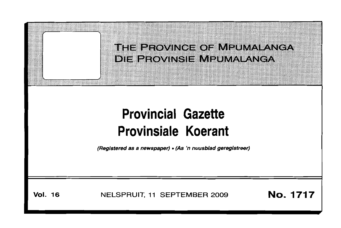

# **Provinsiale Koerant**

(Registered as a newspaper) • (As 'n nuusblad geregistreer)

**Vol. 16** NELSPRUIT, **<sup>11</sup>** SEPTEMBER <sup>2009</sup> **No. 1717**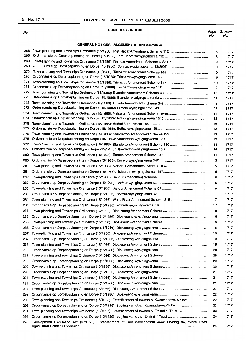#### No.

#### **CONTENTS · INHOUD**

## **GENERAL NOTICES· ALGEMENE KENNISGEWINGS**

| 268<br>268 |                                                                                                         | 8<br>8   | 1717<br>1717 |
|------------|---------------------------------------------------------------------------------------------------------|----------|--------------|
| 269        |                                                                                                         | 8        | 1717         |
| 269        |                                                                                                         | 9        | 1717         |
| 270<br>270 |                                                                                                         | 9        | 1717         |
| 271        |                                                                                                         | 9        | 1717         |
| 271        |                                                                                                         | 10       | 1717         |
| 272        |                                                                                                         | 10       | 1717         |
| 272        |                                                                                                         | 10<br>11 | 1717<br>1717 |
| 273        |                                                                                                         | 11       |              |
| 273        |                                                                                                         | 11       | 1717<br>1717 |
| 274        |                                                                                                         | 12       | 1717         |
| 274        |                                                                                                         | 12       | 1717         |
| 275        |                                                                                                         | 13       | 1717         |
| 275        |                                                                                                         | 13       | 1717         |
| 276        |                                                                                                         | 13       | 1717         |
| 276        |                                                                                                         | 13       | 1717         |
| 277        |                                                                                                         | 14       | 1717         |
| 277        |                                                                                                         | 14       | 1717         |
| 280        |                                                                                                         | 14       | 1717         |
| 280        |                                                                                                         | 15       | 1717         |
| 281        |                                                                                                         | 15       | 1717         |
| 281        |                                                                                                         | 15       | 1717         |
| 282        |                                                                                                         | 16       | 1717         |
| 282        |                                                                                                         | 16       | 1717         |
| 283        |                                                                                                         | 16       | 1717         |
| 283        |                                                                                                         | 17       | 1717         |
| 284        |                                                                                                         | 17       | 1717         |
|            |                                                                                                         |          |              |
| 284        |                                                                                                         | 17       | 1717         |
| 285        |                                                                                                         | 18       | 1717         |
| 285        |                                                                                                         | 18       | 1717         |
| 286        |                                                                                                         | 18       | 1717         |
| 286        |                                                                                                         | 18       | 1717         |
| 287        |                                                                                                         | 19       | 1717         |
| 287        |                                                                                                         | 19       | 1717         |
| 288        |                                                                                                         | 19       | 1717         |
| 288        |                                                                                                         | 20       | 1717         |
| 289        |                                                                                                         | 20       | 1717         |
| 289        |                                                                                                         | 20       | 1717         |
| 290        |                                                                                                         | 20       | 1717         |
| 290        |                                                                                                         | 21       | 1717         |
| 291        |                                                                                                         | 21       | 1717         |
| 291        |                                                                                                         | 21       | 1717         |
| 292        |                                                                                                         | 22       | 1717         |
| 292        |                                                                                                         | 22       | 1717         |
| 293        | Town-planning and Townships Ordinance (15/1986): Establishment of township: Kwamadakwa-Ndlovu           | 22       | 1717         |
| 293        | Ordonnansie op Dorpsbeplanning en Dorpe (15/1986): Stigting van dorp: Kwamadakwa-Ndiovu                 | 23       | 1717         |
| 294        | Town-planning and Townships Ordinance (15/1986): Establishment of township: Emjindini Trust             | 23       | 1717         |
| 294        |                                                                                                         | 24       | 1717         |
| 295        | Development Facilitation Act (67/1995): Establishment of land development area: Holding 94, White River |          |              |
|            |                                                                                                         | 25       | 1717         |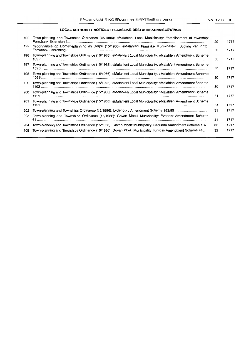## **LOCAL AUTHORITY NOTICES, PLAASLIKE BESTUURSKENNISGEWINGS**

| 192 | Town-planning and Townships Ordinance (15/1986): eMalahleni Local Municipality: Establishment of township:<br>Ferrobank Extension 3 | 29 | 1717 |
|-----|-------------------------------------------------------------------------------------------------------------------------------------|----|------|
| 192 | Ordonnansie op Dorpsbeplanning en Dorpe (15/1986): eMalahleni Plaaslike Munisipaliteit: Stigting van dorp:                          | 29 | 1717 |
| 196 | Town-planning and Townships Ordinance (15/1986): eMalahleni Local Municipality: eMalahleni Amendment Scheme                         | 30 | 1717 |
| 197 | Town-planning and Townships Ordinance (15/1986): eMalahleni Local Municipality: eMalahleni Amendment Scheme                         | 30 | 1717 |
| 198 | Town-planning and Townships Ordinance (15/1986): eMalahleni Local Municipality: eMalahleni Amendment Scheme                         | 30 | 1717 |
| 199 | Town-planning and Townships Ordinance (15/1986): eMalahleni Local Municipality: eMalahleni Amendment Scheme                         | 30 | 1717 |
| 200 | Town-planning and Townships Ordinance (15/1986): eMalahleni Local Municipality: eMalahleni Amendment Scheme                         | 31 | 1717 |
| 201 | Town-planning and Townships Ordinance (15/1986): eMalahleni Local Municipality: eMalahleni Amendment Scheme                         | 31 | 1717 |
| 202 | Town-planning and Townships Ordinance (15/1986): Lydenburg Amendment Scheme 163/95                                                  | 31 | 1717 |
| 203 | Town-planning and Townships Ordinance (15/1986): Govan Mbeki Municipality: Evander Amendment Scheme                                 | 31 | 1717 |
| 204 | Town-planning and Townships Ordinance (15/1986): Govan Mbeki Municipality: Secunda Amendment Scheme 137.                            | 32 | 1717 |
| 205 | Town-planning and Townships Ordinance (15/1986): Govan Mbeki Municipality: Kinross Amendment Scheme 43                              | 32 | 1717 |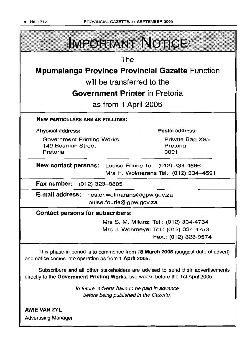

Advertising Manager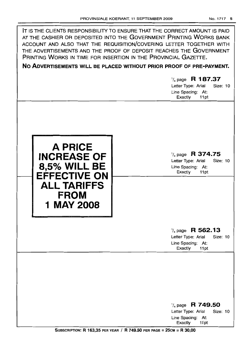| PRINTING WORKS IN TIME FOR INSERTION IN THE PROVINCIAL GAZETTE.                                                                       | IT IS THE CLIENTS RESPONSIBILITY TO ENSURE THAT THE CORRECT AMOUNT IS PAID<br>AT THE CASHIER OR DEPOSITED INTO THE GOVERNMENT PRINTING WORKS BANK<br>ACCOUNT AND ALSO THAT THE REQUISITION/COVERING LETTER TOGETHER WITH<br>THE ADVERTISEMENTS AND THE PROOF OF DEPOSIT REACHES THE GOVERNMENT<br>NO ADVERTISEMENTS WILL BE PLACED WITHOUT PRIOR PROOF OF PRE-PAYMENT.<br>$\frac{1}{4}$ page R 187.37<br>Letter Type: Arial<br>Size: 10<br>Line Spacing: At:<br>Exactly<br>11pt |
|---------------------------------------------------------------------------------------------------------------------------------------|---------------------------------------------------------------------------------------------------------------------------------------------------------------------------------------------------------------------------------------------------------------------------------------------------------------------------------------------------------------------------------------------------------------------------------------------------------------------------------|
| <b>A PRICE</b><br><b>INCREASE OF</b><br><b>8,5% WILL BE</b><br><b>EFFECTIVE ON</b><br><b>ALL TARIFFS</b><br><b>FROM</b><br>1 MAY 2008 | $\frac{1}{4}$ page R 374.75<br>Letter Type: Arial<br><b>Size: 10</b><br>Line Spacing: At:<br>Exactly<br>11pt                                                                                                                                                                                                                                                                                                                                                                    |
|                                                                                                                                       | $\frac{1}{4}$ page R 562.13<br>Letter Type: Arial<br>Size: 10<br>Line Spacing: At:<br>Exactly<br>11pt                                                                                                                                                                                                                                                                                                                                                                           |
|                                                                                                                                       | $\frac{1}{4}$ page R 749.50<br>Letter Type: Arial<br>Size: 10<br>Line Spacing: At:<br>Exactly<br>11 <sub>pt</sub>                                                                                                                                                                                                                                                                                                                                                               |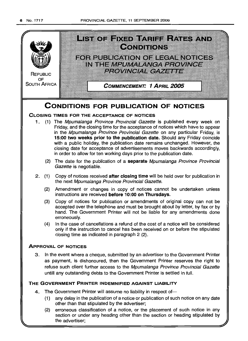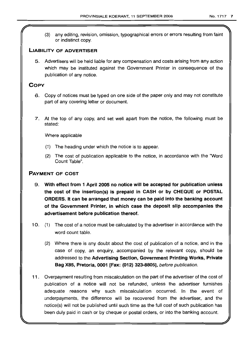(3) any editing, revision, omission, typographical errors or errors resulting from faint or indistinct copy.

## **LIABILITY OF ADVERTISER**

5. Advertisers will be held liable for any compensation and costs arising from any action which may be instituted against the Government Printer in consequence of the publication of any notice.

## **COpy**

- 6. Copy of notices must be typed on one side of the paper only and may not constitute part of any covering letter or document.
- 7. At the top of any copy, and set well apart from the notice, the following must be stated:

Where applicable

- (1) The heading under which the notice is to appear.
- (2) The cost of publication applicable to the notice, in accordance with the 'Word Count Table".

## **PAYMENT OF COST**

- 9. **With effect from 1 April 2005 no notice will be accepted for publication unless the cost of the insertion(s) is prepaid in CASH or by CHEQUE or POSTAL ORDERS. It can be arranged that money can be paid into the banking account of the Government Printer, in which case the deposit slip accompanies the advertisement before publication thereof.**
- 10. (1) The cost of a notice must be calculated by the advertiser in accordance with the word count table.
	- (2) Where there is any doubt about the cost of publication of a notice, and in the case of copy, an enquiry, accompanied by the relevant copy, should be addressed to the **Advertising Section, Government Printing Works, Private Bag X85, Pretoria, 0001 [Fax: (012) 323-8805],** before publication.
- **11.** Overpayment resulting from miscalculation on the part of the advertiser of the cost of publication of a notice will not be refunded, unless the advertiser furnishes adequate reasons why such miscalculation occurred. In the event of underpayments, the difference will be recovered from the advertiser, and the notice(s) will not be published until such time as the full cost of such publication has been duly paid in cash or by cheque or postal orders, or into the banking account.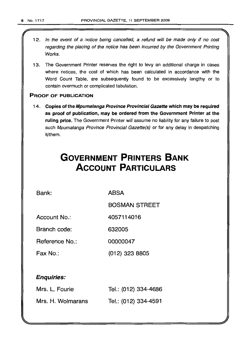- 12. In the event of a notice being cancelled, a refund will be made only if no cost regarding the placing of the notice has been incurred by the Government Printing Works.
- 13. The Government Printer reserves the right to levy an additional charge in cases where notices, the cost of which has been calculated in accordance with the Word Count Table, are subsequently found to be excessively lengthy or to contain overmuch or complicated tabulation.

## PROOF OF PUBLICATION

14. Copies of the Mpumalanga Province Provincial Gazette which may be required as proof of publication, may be ordered from the Government Printer at the ruling price. The Government Printer will assume no liability for any failure to post such Mpumalanga Province Provincial Gazette(s) or for any delay in despatching it/them.

# **GOVERNMENT PRINTERS BANK ACCOUNT PARTICULARS**

Bank: ABSA

BOSMAN STREET

Account No.: 4057114016

Branch code: 632005

Reference No.: 00000047

Fax No.: (012) 323 8805

## Enquiries:

| Mrs. L. Fourie    | Tel.: (012) 334-4686 |
|-------------------|----------------------|
| Mrs. H. Wolmarans | Tel.: (012) 334-4591 |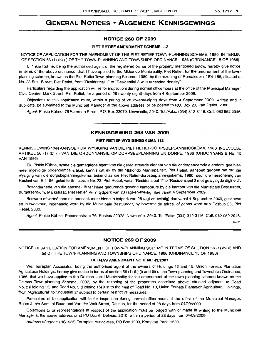# GENERAL NOTICES • ALGEMENE KENNISGEWINGS

#### NOTICE 268 OF 2009

#### PIET RETIEF AMENDMENT SCHEME 112

NOTICE OF APPLICATION FOR THE AMENDMENT OF THE PIET RETIEF TOWN-PLANNING SCHEME, 1980, IN TERMS OF SECTION 56 (1) (b) (i) OF THE TOWN-PLANNING AND TOWNSHIPS ORDINANCE, 1986 (ORDINANCE 15 OF 1986)

I, Pinkie Kühne, being the authorised agent of the registered owner of the property mentioned below, hereby give notice. in terms of the above ordinance, that I have applied to the Mkhondo Municipality, Piet Retief, for the amendment of the townplanning scheme, known as the Piet Retief Town-planning Scheme, 1980, by the rezoning of Remainder of Erf 156, situated at No. 23 Smit Street, Piet Retief, from "Residential 1"to "Residential 3 with amended density".

Particulars regarding the application will lie for inspectioni during normal office hours at the office of the Municipal Manager, Civic Centre, Mark Street, Piet Retief, for a period of 28 (twenty-eight) days from 4 September 2009.

Objections to this application must, within a period of 28 (twenty-eight) days from 4 September 2009, written and in duplicate, be submitted to the Municipal Manager at the above address, or be posted to P.O. Box 23, Piet Retief, 2380.

Agent: Pinkie Kuhne, 76 Paterson Street, P.O. Box 22072, Newcastle, 2940. Tel./Faks: (034) 312-3116. Cell: 082 952 2946.

## KENNISGEWING 268 VAN 2009

**•**

#### PIET RETIEF-WYSIGINGSKEMA 112

KENNISGEWING VAN AANSOEK OM WYSIGING VAN DIE PIET RETIEF-DORPSBEPLANNINGSKEMA, 1980, INGEVOLGE ARTIKEL 56 (1) (b) (i) VAN DIE ORDONNANSIE OP DORPSBEPLANNING EN DORPE, 1986 (ORDONNANSIE No. 15 VAN 1986)

Ek, Pinkie Kuhne, synde die gemagtigde agent van die geregistreerde eienaar van die ondergenoemde eiendom, gee hiermee, ingevolge bogenoemde artikel, kennis dat ek by die Mkhondo Munisipaliteit, Piet Retief, aansoek gedoen het om die wysiging van die dorpsbeplanningskema, bekend as die Piet Retief-dorpsbeplanningskema, 1980, deur die hersonering van Restant van Erf 156, geleë te Smitstraat No. 23, Piet Retief, vanaf "Residensieel 1" to "Residensieel 3 met gewysigde digtheid".

Besonderhede van die aansoek Ie ter insae gedurende gewone kantoorure by die kantoor van die Munisipale Bestuurder, Burgersentrum, Markstraat, Piet Retief, vir 'n tydperk van 28 (agt-en-twintig) dae vanaf 4 September 2009.

Besware of vertoë teen die aansoek moet binne 'n tydperk van 28 (agt-en-twintig) dae vanaf 4 September 2009, geskrewe en in tweevoud, ingehandig word by die Munisipale Bestuurder, by bovermelde adres, of gepos word aan Posbus 23, Piet Retief, 2380.

Agent: Pinkie Kuhne, Patersonstraat 76, Posbus 22072, Newcastle, 2940. Tel./Faks: (034) 312-3116. Cell: 082 952 2946.

 $4 - 11$ 

## NOTICE 269 OF 2009

NOTICE OF APPLICATION FOR AMENDMENT OF TOWN-PLANNING SCHEME IN TERMS OF SECTION 56 (1) (b) (i) AND (ii) OF THE TOWN-PLANNING AND TOWNSHIPS ORDINANCE, 1986 (ORDINANCE 15 OF 1986)

#### DELMAS AMENDMENT SCHEME *43/2007*

We, Terraplan Associates, being the authorised agent of the owners of Holdings 13 and 15, Union Forests Plantation Agricultural Holdings, hereby give notice in terms of section 56 (1) (b) (i) and (ii) of the Town-planning and Townships Ordinance, 1986, that we have applied to the Delmas Local Municipality for the amendment of the town-planning scheme known as the Delmas Town-planning Scheme, 2007, by the rezoning of the properties described above, situated adjacent to Road No. 2 (Holding 13) and Road No. 3 (Holding 15) just to the east of Road No. 10, Union Forests Plantation Agricultural Holdings, from "Agricultural" to "Industrial 2" subject to certain restrictive measures.

Particulars of the application will lie for inspection during normal office hours at the office of the Municipal Manager, Room 2, c/o Samuel Road and Van der Walt Street, Delmas, for the period of 28 days from 04/09/2009.

Objections to or representations in respect of the application must be lodged with or made in writing to the Municipal Manager at the above address or at PO Box 6, Delmas, 2210, within a period of 28 days from 04/09/2009.

Address of agent: (HS1936) Terraplan Associates, PO Box 1903, Kempton Park, 1620.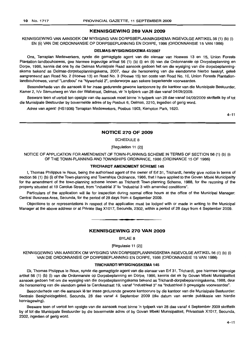## **KENNISGEWING 269 VAN 2009**

KENNISGEWING VAN AANSOEK OM WYSIGING VAN DORPSBEPLANNINGSKEMA INGEVOLGE ARTIKEL 56 (1) (b) (i) EN (ii) VAN DIE ORDONNANSIE OP DORPSBEPLANNING EN DORPE, 1986 (ORDONNANSIE 15 VAN 1986)

#### **DELMAS-WYSIGINGSKEMA** 43/2007

Ons, Terraplan Medewerkers, synde die gemagtigde agent van die eienaar van Hoewes 13 en 15, Union Forests Plantation-Iandbouhoewes, gee hiermee ingevolge artikel 56 (1) (b) (i) en (ii) van die Ordonnansie op Dorpsbeplanning en Dorpe, 1986, kennis dat ons by die Delmas Munisipale Raad aansoek gedoen het om die wysiging van die dorpsbeplanningskema bekend as Delmas-dorpsbeplanningskema, 2007, deur die hersonering van die eiendomme hierbo beskryf, gelee aangrensend aan Road No.2 (Hoewe 13) en Road No.3 (Hoewe 15) ten ooste van Road No. 10, Union Forests Plantationlandbouhoewes, vanaf "Landbou" na "Nywerheid 2", onderworpe aan sekere beperkende voorwaardes.

Besonderhede van die aansoek lê ter insae gedurende gewone kantoorure by die kantoor van die Munisipale Bestuurder, Kamer 2, h/v Samuelweg en Van der Waltstraat, Delmas, vir 'n tydperk van 28 dae vanaf 04/09/2009.

Besware teen of vertoë ten opsigte van die aansoek moet binne 'n tydperk van 28 dae vanaf 04/09/2009 skriftelik by of tot die Munisipale Bestuurder by bovermelde adres of by Posbus 6, Delmas, 2210, ingedien of gerig word.

Adres van agent: (HS1936) Terraplan Medewerkers, Posbus 1903, Kempton Park, 1620.

4-11

#### **NOTICE 270 OF 2009**

SCHEDULE 8

[Regulation 11 (2)]

NOTICE OF APPLICATION FOR AMENDMENT OF TOWN-PLANNING SCHEME IN TERMS OF SECTION 56 (1) (b) (i) OF THE TOWN-PLANNING AND TOWNSHIPS ORDINANCE, 1986 (ORDINANCE 15 OF 1986)

#### **TRICHARDT AMENDMENT SCHEME 145**

I, Thomas Philippus Ie Roux, being the authorised agent of the owner of Erf 31, Trichardt, hereby give notice in terms of section 56 (1) (b) (i) of the Town-planning and Townships Ordinance, 1986, that I have applied to the Govan Mbeki Municipality for the amendment of the town-planning scheme known as Trichardt Town-planning Scheme, 1988, for the rezoning of the property situated at 19 Carolus Street, from "Industrial 3" to "Industrial 3 with amended conditions".

Particulars of the application will lie for inspection during normal office hours at the office of the Municipal Manager: Central Business Area, Secunda, for the period of 28 days from 4 September 2009.

Objections to or representations in respect of the application must be lodged with or made in writing to the Municipal Manager at the above address or at Private Bag X1017, Secunda, 2302, within a period of 28 days from 4 September 2009.

## **KENNISGEWING 270 VAN 2009**

**•**

BYLAE 8

[Regulasie 11 (2)]

KENNISGEWING VAN AANSOEK OM WYSIGING VAN DORPSBEPLANNINGSKEMA INGEVOLGE ARTIKEL 56 (1) (b) (i) VAN DIE ORDONNANSIE OP DORPSBEPLANNING EN DORPE, 1986 (ORDONNANSIE 15 VAN 1986)

#### **TRICHARDT-WYSIGINGSKEMA 145**

Ek, Thomas Philippus Ie Raux, synde die gemagtigde agent van die eienaar van Erf 31, Trichardt, gee hiermee ingevolge artikel 56 (1) (b) (i) van die Ordonnansie op Dorpsbeplanning en Dorpe, 1986, kennis dat ek by Govan Mbeki Munisipaliteit aansoek gedoen het om die wysiging van die dorpsbeplanningskema bekend as Trichardt-dorpsbeplanningskema, 1988, deur die hersonering van die eiendom geleë te Carolusstraat 19, vanaf "Industrieel 3" na "Industrieel 3 gewysigde voorwaardes".

Besonderhede van die aansoek lê ter insae gedurende gewone kantoorure by die kantoor van die Munisipale Bestuurder: Sentrale Besigheidsgebied, Secunda, 28 dae vanaf 4 September 2009 (die datum van eerste publikasie van hierdie kennisgewing) .

Besware teen of vertoë ten opsigte van die aansoek moet binne 'n tydperk van 28 dae vanaf 4 September 2009 skriftelik by of tot die Munisipale Bestuurder by die bovermelde adres of by Govan Mbeki Munisipaliteit, Privaatsak X1017, Secunda, 2302, ingedien of gerig word.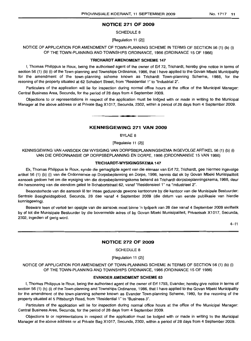## **NOTICE 271 OF 2009**

SCHEDULE 8

[Regulation 11 (2)]

NOTICE OF APPLICATION FOR AMENDMENT OF TOWN-PLANNING SCHEME IN TERMS OF SECTION 56 (1) (b) (i) OF THE TOWN-PLANNING AND TOWNSHIPS ORDINANCE, 1986 (ORDINANCE 15 OF 1986)

#### **"rRICHARDT AMENDMENT SCHEME** 147

I, Thomas Philippus Ie Roux, being the authorised agent of the owner of Erf 72, Trichardt, hereby give notice in terms of section 56 (1) (b) (i) of the Town-planning and Townships Ordinance, 1986, that I have applied to the Govan Mbeki Municipality for the amendment of the town-planning scheme known as Trichardt Town-planning Scheme, 1988, for the rezoning of the property situated at 62 Schabort Street, from "Residential 1" to "Industrial 2".

Particulars of the application will lie for inspection during normal office hours at the office of the Municipal Manager: Central Business Area, Secunda, for the period of 28 days from 4 September 2009.

Objections to or representations in respect of the application must be lodged with or made in writing to the Municipal Manager at the above address or at Private Bag X1017, Secunda, 2302, within a period of 28 days from 4 September 2009.

.**-.**

## **KENNISGEWING 271 VAN 2009**

BYLAE 8

[Regulasie 11 (2)]

KENNISGEWING VANAANSOEK OM VVYSIGING VAN DORPSBEPLANNINGSKEMA INGEVOLGE ARTIKEL 56 (1) (b) (i) VAN DIE ORDONNANSIE OP DORPSBEPLANNING EN DORPE, 1986 (ORDONNANSIE 15 VAN 1986)

#### **TRICHARDT-WYSIGINGSKEMA** 147

Ek, Thomas Philippus Ie Roux, synde die gemagtigde agent van die eienaar van Erf 72, Trichardt, gee hiermee ingevolge artikel 56 (1) (b) (i) van die Ordonnansie op Dorpsbeplanning en Dorpe, 1986, kennis dat ek by Govan Mbeki Munisipaliteit aansoek gedoen het om die wysiging van die dorpsbeplanningskema bekend as Trichardt-dorpsbeplanningskema, 1988, deur die hersonering van die eiendom geleë te Schabortstraat 62, vanaf "Residensieel 1" na "Industrieel 2".

Besonderhede van die aansoek lê ter insae gedurende gewone kantoorure by die kantoor van die Munisipale Bestuurder: Sentrale Besigheidsgebied, Secunda, 28 dae vanaf 4 September 2009 (die datum van eerste publikasie van hierdie kennisgewing) .

Besware teen of vertoe ten opsigte van die aansoek moet binne 'n tydperk van 28 dae vanaf 4 September 2009 skriftelik by of tot die Munisipale Bestuurder by die bovermelde adres of by Govan Mbeki Munisipaliteit, Privaatsak X1 017, Secunda, 2302, ingedien of gerig word.

 $4 - 11$ 

## **NOTICE 272 OF 2009**

SCHEDULE 8

[Regulation 11 (2)]

NOTICE OF APPLICATION FOR AMENDMENT OF TOWN-PLANNING SCHEME IN TERMS OF SECTION 56 (1) (b) (i) OF THE TOWN-PLANNING AND TOWNSHIPS ORDINANCE, 1986 (ORDINANCE 15 OF 1986)

#### **EVANDER AMENDMENT SCHEME 63**

I, Thomas Philippus Ie Roux, being the authorised agent of the owner of Erf 1793, Evander, hereby give notice in terms of section 56 (1) (b) (i) of the Town-planning and Townships Ordinance, 1986, that I have applied to the Govan Mbeki Municipality for the amendment of the town-planning scheme known as Evander Town-planning Scheme, 1980, for the rezoning of the property situated at 5 Pittsburgh Road, from "Residential 1" to "Business 3".

Particulars of the application will lie for inspection during normal office hours at the office of the Municipal Manager: Central Business Area, Secunda, for the period of 28 days from 4 September 2009.

Objections to or representations in respect of the application must be lodged with or made in writing to the Municipal Manager at the above address or at Private Bag X1017, Secunda, 2302, within a period of 28 days from 4 September 2009.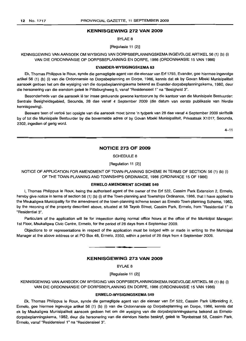#### KENNISGEWING 272 VAN 2009

BYLAE 8

[Regulasie 11 (2)]

KENNISGEWING VAN AANSOEK OM WYSIGING VAN DORPSBEPLANNINGSKEMA INGEVOLGE ARTIKEL 56 (1) (b) (i) VAN DIE ORDONNANSIE OP DORPSBEPLANNING EN DORPE, 1986 (ORDONNANSIE 15 VAN 1986)

#### EVANDER-WYSIGINGSKEMA 63

Ek, Thomas Philippus Ie Roux, synde die gemagtigde agent van die eienaar van Erf 1793, Evander, gee hiermee ingevolge artikel 56 (1) (b) (i) van die Ordonnansie op Dorpsbeplanning en Dorpe, 1986, kennis dat ek by Govan Mbeki Munisipaliteit aansoek gedoen het om die wysiging van die dorpsbeplanningskema bekend as Evander-dorpsbeplanningskema, 1980, deur die hersonering van die eiendom geleë te Pittsburghweg 5, vanaf "Residensieel 1" na "Besigheid 3".

Besonderhede van die aansoek lê ter insae gedurende gewone kantoorure by die kantoor van die Munisipale Bestuurder: Sentrale Besigheidsgebied, Secunda, 28 dae vanaf 4 September 2009 (die datum van eerste publikasie van hierdie kennisgewing) .

Besware teen of vertoë ten opsigte van die aansoek moet binne 'n tydperk van 28 dae vanaf 4 September 2009 skriftelik by of tot die Munisipale Bestuurder by die bovermelde adres of by Govan Mbeki Munisipaliteit, Privaatsak X1017, Secunda, 2302, ingedien of gerig word.

 $4 - 11$ 

## NOTICE 273 OF 2009

## SCHEDULE 8

[Regulation 11 (2)]

NOTICE OF APPLICATION FOR AMENDMENT OF TOWN-PLANNING SCHEME IN TERMS OF SECTION 56 (1) (b) (i) OF THE TOWN-PLANNING AND TOWNSHIPS ORDINANCE, 1986 (ORDINANCE 15 OF 1986)

#### ERMELO AMENDMENT SCHEME 549

/, Thomas Philippus Ie Roux, being the authorised agent of the owner of the Erf 522, Cassim Park Extension 2, Ermelo, hereby give notice in terms of section 56 (1) (b) (i) of the Town-planning and Townships Ordinance, 1986, that I have applied to the Msukaligwa Municipality for the amendment of the town-planning scheme known as Ermelo Town-planning Scheme, 1982, by the rezoning of the property described above, situated at 58 Tayob Street, Cassim Park, Ermelo, from "Residential 1" to "Residential 3".

Particulars of the application will lie for inspection during normal office hours at the office of the Municipal Manager: 1st Floor, Msukaligwa Civic Centre, Ermelo, for the period of 28 days from 4 September 2009.

Objections to or representations in respect of the application must be lodged with or made in writing to the Municipal Manager at the above address or at PO Box 48, Ermelo, 2350, within a period of 28 days from 4 September 2009.

.**- .**

## KENNISGEWING 273 VAN 2009

BYLAE 8

[Regulasie 11 (2)]

KENNISGEWING VAN AANSOEK OM WYSIGING VAN DORPSBEPLANNINGSKEMA INGEVOLGE ARTIKEL 56 (1) (b) (i) VAN DIE ORDONNANSIE OP DORPSBEPLANNING EN DORPE, 1986 (ORDONNANSIE 15 VAN 1986)

## ERMELO-WYSIGINGSKEMA 549

Ek, Thomas Philippus Ie Roux, synde die gemagtigde agent van die eienaar van Erf 522, Cassim Park Uitbreiding 2, Ermelo, gee hiermee ingevolge artikel 56 (1) (b) (i) van die Ordonnansie op Dorpsbeplanning en Dorpe, 1986, kennis dat ek by Msukaligwa Munisipaliteit aansoek gedoen het om die wysiging van die dorpsbeplanningskema bekend as Ermelodorpsbeplanningskema, 1982, deur die hersonering van die eiendom hierbo beskryf, gelee te Tayobstraat 58, Cassim Park, Ermelo, vanaf "ResidensieeI1" na "Residensieel 3".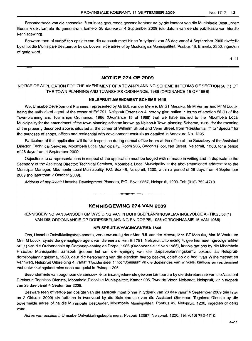Besonderhede van die aansoeke lê ter insae gedurende gewone kantoorure by die kantoor van die Munisipale Bestuurder: Eerste Vloer, Ermelo Burgersentrum, Errnelo, 28 dae vanaf 4 September 2009 (die datum van eerste publlkasie van hierdie kennisgewing) .

Besware teen of vertoe ten opsigte van die aansoek moet binne 'n tydperk van 28 dae vanaf 4 September 2009 skriftelik by of tot die Munisipale Bestuurder by die bovermelde adres of by Msukaligwa Munisipaliteit, Posbus 48, Ermelo, 2350, ingedien of gerig word.

 $4 - 11$ 

## **NOTICE 274 OF 2009**

## NOTICE OF APPLICATION FOR THE AMENDMENT OF A TOWN-PLANNING SCHEME IN TERMS OF SECTION 56 (1) OF THE TOWN-PLANNING AND TOWNSHIPS ORDINANCE, 1986 (ORDINANCE 15 OF 1986)

#### **NELSPRUIT AMENDMENT SCHEME 1646**

We, Umsebe Development Planners, represented by Mr BJL van der Merwe, Mr ST Masuku, Mr M Venter and Mr M Loock, being the authorised agent of the owner of Erf 791, Nelspruit Extension 4, hereby give notice in terms of section 56 (1) of the Town-planning and Townships Ordinance, 1986 (Ordinance 15 of 1986) that we have applied to the Mbombela Local Municipality for the amendment of the town-planning scheme known as Nelspruit Town-planning Scheme, 1989, for the rezoning of the property described above, situated at the corner of Wilhelm Street and Venn Street, from "Residential 1" to "Special" for the purposes of shops, offices and residential with development controls as detailed in Annexure No. 1295.

Particulars of this application will lie for inspection during normal office hours at the office of the Secretary of the Assistant Director: Technical Services, Mbombela Local Municipality, Room 205, Second Floor, Nel Street, Nelspruit, 1200, for a period of 28 days from 4 September 2009.

Objections to or representations in respect of the application must be lodged with or made in writing and in duplicate to the Secretary of the Assistant Director: Technical Services, Mbombela Local Municipality at the abovementioned address or to the Municipal Manager, Mbombela Local Municipality, P.O. Box 45, Nelspruit, 1200, within a period of 28 days from 4 September 2009 (no later than 2 October 2009).

Address of applicant: Umsebe Development Planners, PO. Box 12367, Nelspruit, 1200. Tel: (013) 752-4710.

## **KENNISGEWING 274 VAN 2009**

**• •**

KENNISGEWING VAN AANSOEK OM WYSIGING VAN 'N DORPSBEPLANNINGSKEMA INGEVOLGE ARTIKEL 56 (1) VAN DIE ORDONNANSIE OP DORPSBEPLANNING EN DORPE, 1986 (ORDONNANSIE 15 VAN 1986)

#### **NELSPRUIT·WYSIGINGSKEMA 1646**

Ons, Umsebe Ontwikkelingsbeplanners, verteenwoordig deur Mnr. BJL van der Merwe, Mnr. ST Masuku, Mnr. M Venter en Mm. M Loock, synde die gemagtigde agent van die eienaar van Erf 791, Nelspruit Uitbreiding 4, gee hiermee ingevolge artikel 56 (1) van die Ordonnansie op Dorpsbeplanning en Dorpe, 1986 (Ordonnansie 15 van 1986), kennis dat ons by die Mbombela Plaaslike Munisipaliteit aansoek gedoen het om die wysiging van die dorpsbeplanningskema bekend as Nelspruitdorpsbeplanningskema, 1989, deur die hersonering van die eiendom hierbo beskryf, geleë op die hoek van Wilhelmstraat en Vennweg, Nelspruit Uitbreiding 4, vanaf "Residensieel 1" tot "Spesiaal" vir die doeleindes van winkels, kantore en residensieel met ontwikkelingskontroles soos aangedui in Bylaag 1295.

Besonderhede van bogenoemde aansoek lê ter insae gedurende gewone kantoorure by die Sekretaresse van die Assistent Direkteur: Tegniese Dienste, Mbombela Plaaslike Munisipaliteit, Kamer 205, Tweede Vloer, Nelstraat, Nelspruit, vir 'n tydperk van 28 dae vanaf 4 September 2009.

Besware teen of vertoë ten opsigte van die aansoek moet binne 'n tydperk van 28 dae vanaf 4 September 2009 (nie later as 2 Oktober 2009) skriftelik en in tweevoud by die Sekretaresse van die Assistent Direkteur: Tegniese Dienste by die bovermelde adres of na die Munisipale Bestuurder, Mbombela Munisipaliteit, Posbus 45, Nelspruit, 1200, ingedien of gerig word.

Adres van applikant: Umsebe Ontwikkelingsbeplanners, Posbus 12367, Nelspruit, 1200. Tel: (013) 752-4710.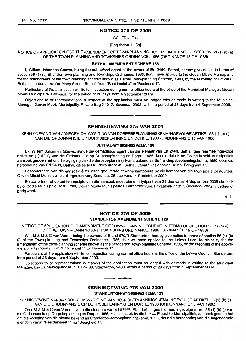## NOTICE 275 OF 2009

SCHEDULE 8

[Regulation 11 (2)]

NOTICE OF APPLICATION FOR THE AMENDMENT OF TOWN-PLANNING SCHEME IN TERMS OF SECTION 56 (1) (b) (i) OF THE TOWN-PLANNING AND TOWNSHIPS ORDINANCE, 1986 (ORDINANCE 15 OF 1986)

#### BETHAL AMENDMENT SCHEME 158

I, Willem Johannes Gouws, being the authorised agent of the owner of Erf 2460, Bethal, hereby give notice in terms of section 56 (1) (b) (i) of the Town-planning and Townships Ordinance, 1986, that I have applied to the Govan Mbeki Municipality for the amendment of the town-planning scheme known as Bethal Town-planning Scheme, 1980, by the rezoning of Erf 2460, Bethal, situated at 42 Du Plooy Street, Bethal, from "Residential 4" to "Business 1'',

Particulars of the application will lie for inspection during normal office hours at the office of the Municipal Manager, Govan Mbeki Municipality, Secunda, for the period of 28 days from 4 September 2009.

Objections to or representations in respect of the application must be lodged with or made in writing to the Municipal Manager, Govan Mbeki Municipality, Private Bag X1017, Secunda, 2302, within a period of 28 days from 4 September 2009.

## KENNISGEWING 275 VAN 2009

**•**

KENNISGEWING VAN AANSOEK OM WYSIGING VAN DORPSBEPLANNINGSKEMA INGEVOLGE ARTIKEL 56 (1) (b) (i) VAN DIE ORDONNANSIE OP DORPSBEPLANNING EN DORPE, 1986 (ORDONNANSIE 15 VAN 1986)

#### BETHAL-WYSIGINGSKEMA 158

Ek, Willem Johannes Gouws, synde die gemagtigde agent van die eienaar van Erf 2460, Bethal, gee hiermee ingevolge artikel 56 (1) (b) (i) van die Ordonnansie op Dorpsbeplanning en Dorpe, 1986, kennis dat ek by Govan Mbeki Munisipaliteit aansoek gedoen het om die wysiging van die dorpsbeplanningskema bekend as Bethal-dorpsbeplanningskema, 1980, deur die hersonering van Erf 2460, Bethal, gelee te Du Plooystraat 42, Bethal, vanaf "ResidensieeI4" na "Besigheid 1".

Besonderhede van die aansoek lê ter insae gedurende gewone kantoorure by die kantoor van die Munisipale Bestuurder, Govan Mbeki Munisipaliteit, Burgersentrum, Secunda, 28 dae vanaf 4 September 2009.

Besware teen of vertoë ten opsigte van die aansoek moet binne 'n tydperk van 28 dae vanaf 4 September 2009 skriftelik by of tot die Munisipale Bestuurder, Govan Mbeki Munisipaliteit, Burgersentrum, Privaatsak X1017, Secunda, 2302, ingedien of gerig word.

 $4 - 11$ 

## NOTICE 276 OF 2009 STANDERTON AMENDMENT SCHEME 129

NOTICE OF APPLICATION FOR AMENDMENT OF TOWN-PLANNING SCHEME IN TERMS OF SECTION 56 (1) (b) (i) OF THE TOWN-PLANNING AND TOWNSHIPS ORDINANCE, 1986 (ORDINANCE 15 OF 1986)

We, M & M & C van Vuren, being the owners of Stand 579/R Standerton, hereby give notice in terms of section 56 (1) (b) (i) of the Town-planning and Townships Ordinance, 1986, that we have applied to the Lekwa Local Municipality for the amendment of the town-planning scheme known as the Standerton Town-planning Scheme, 1995, by the rezoning of the abovementioned property from "Residential 1" to "Business 1",

Particulars of the application will lie for inspection during normal office hours at the office of the Lekwa Council, Standerton, for a period of 28 days from 4 September 2009.

Objections to or representations in respect of the application must be lodged with or made in writing to the Municipal Manager, Lekwa Municipality at P.O. Box 66, Standerton, 2430, within a period of 28 days from 4 September 2009.

**T.**

## KENNISGEWING 276 VAN 2009

STANDERTON-WYSIGINGSKEMA 129

KENNISGEWING VAN AANSOEK OM WYSIGING VAN DORPSBEPLANNINGSKEMA INGEVOLGE ARTIKEL 56 (1) (b) (i) VAN DIE ORDONNANSIE OP DORPSBEPLANNING EN DORPE, 1986 (ORDONNANSIE 15 VAN 1986)

Ons, M & M & C van Vuren, synde die eienaars van Erf 579/R, Standerton, gee hiermee ingevolge artikel 56 (1) (b) (i) van die Ordonnansie op Dorpsbeplanning en Dorpe, 1986, kennis dat ek by die Lekwa Plaaslike Munisipaliteit, aansoek gedoen het om die wysiging van die skema bekend as Standerton-dorpbeplanningskema, 1995, deur die hersonering van die bogenoemde eiendom vanaf "ResidensieeI1" na "Besigheid 1",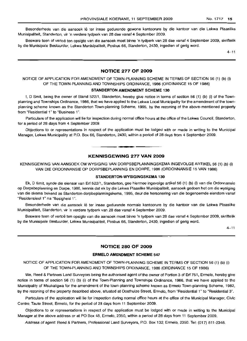Besonderhede van die aansoek lê ter insae gedurende gewone kantoorure by die kantoor van die Lekwa Plaaslike Munisipaliteit, Standerton, vir 'n verdere tydperk van 28 dae vanaf 4 September 2009.

Besware teen of vertoë ten opsigte van die aansoek moet binne 'n tydperk van 28 dae vanaf 4 September 2009, skriftelik by die Munisipale Bestuurder, Lekwa Munisipaliteit, Posbus 66, Standerton, 2430, ingedien of gerig word.

 $4 - 11$ 

## **NOTICE 277 OF 2009**

NOTICE OF APPLICATION FOR AMENDMENT OF TOWN-PLANNING SCHEME IN TERMS OF SECTION 56 (1) (b) (i) OF THE TOWN-PLANNING AND TOWNSHIPS ORDINANCE, 1986 (ORDINANCE 15 OF 1986)

#### **STANDERTON AMENDMENT SCHEME 130**

I, 0 Smit, being the owner of Stand 522/1, Standerton, hereby give notice in terms of section 56 (1) (b) (i) of the Townplanning and Townships Ordinance, 1986, that we have applied to the Lekwa Local Municipality for the amendment of the townplanning scheme known as the Standerton Town-planning Scheme, 1995, by the rezoning of the above-mentioned property from "Residential 1" to "Business 1",

Particulars of the application will lie for inspection during normal office hours at the office of the Lekwa Council, Standerton, for a period of 28 days from 4 September 2009.

Objections to or representations in respect of the application must be lodged with or made in writing to the Municipal Manager, Lekwa Municipality at P.O. Box 66, Standerton, 2430, within a period of 28 days from 4 September 2009 .

## **KENNISGEWING 277 VAN 2009**

**•**

KENNISGEWING VAN AANSOEK OM WYSIGING VAN DORPSBEPLANNINGSKEMA INGEVOLGE ARTIKEL 56 (1) (b) (i) VAN DIE ORDONNANSIE OP IJORPSBEPLANNING EN DORPE, 1986 (ORDONNANSIE 15 VAN 1986)

#### **STANDERTON-WYSIGINGSKEMA 130**

Ek, 0 Smit, synde die eienaar van Erf 522/1 , Standerton, gee hiermee ingevolge artikel 56 (1) (b) (i) van die Ordonnansie op Dorpsbeplanning en Dorpe, 1986, kennis dat ek by die Lekwa Plaaslike Munisipaliteit, aansoek gedoen het om die wysiging van die skema bekend as Standerton-dorpbeplanningskema, 1995, deur die hersonering van die bogenoemde eiendom vanaf "Residensieel 1" na "Besigheid 1".

Besonderhede van die aansoek Iê ter insae gedurende normale kantoorure by die kantoor van die Lekwa Plaaslike Munisipaliteit, Standerton, vir 'n verdere tydperk van 28 dae vanaf 4 September 2009.

Besware teen of vertoe ten opsigte van die aansoek moet binne 'n tydperk van 28 dae vanaf 4 September 2009, skriftelik by die Munisipale Bestuurder, Lekwa Munisipaliteit, Posbus 66, Standerton, 2430, ingedien of gerig word.

 $4 - 11$ 

#### **NOTICE 280 OF 2009**

#### **ERMELO AMENDMENT SCHEME 547**

NOTICE OF APPLICATION FOR AMENDMENT OF TOWN-PLANNING SCHEME IN TERMS OF SECTION 56 (1) (b) (I) OF THE TOWN-PLANNING AND TOWNSHIPS ORDINANCE, 1986 (ORDINANCE 15 OF 1986)

We, Reed & Partners Land Surveyors being the authorised agent of the owner of Portion 3 of Erf 751, Ermelo, hereby give notice in terms of section 56 (1) (b) (i) of the Town-Planning and Townships Ordinance, 1986, that we have applied to the Municipality of Msukaligwa for the amendment of the town-planning scheme known as Ermelo Town-planning Scheme, 1982, by the rezoning of the property described above, situated at Oosthuize Street, Ermelo, from "Residential 1" to "Residential 3".

Particulars of the application will lie for inspection during normal office hours at the office of the Municipal Manager, Civic Centre, Taute Street, Ermelo, for the period of 28 days from 11 September 2009.

Objections to or representations in respect of the application must be lodged with or made in writing to the Municipal Manager at the above address or at PO Box 48, Ermelo, 2350, within a period of 28 days from 11 September 2009.

Address of agent: Reed & Partners, Professional Land Surveyors, P.O. Box 132, Ermelo, 2350. Tel: (017) 811-2348.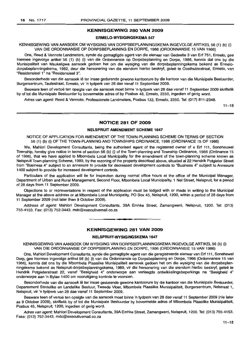## **KENNISGEWING 280 VAN 2009**

#### **ERMELO-WYSIGINGSKEMA 547**

KENNISGEWING VAN MNSOEK OM WYSIGING VAN DORPSBEPLANNINGSKEMA INGEVOLGE ARTIKEL 56 (1) (b) (i) VAN DIE ORDONNANSIE OP DORPSBEPLANNING EN DORPE, 1986 (ORDONNANSIE 15 VAN 1986)

Ons, Reed & Vennote Landmeters, synde die gemagtigde agent van die eienaar van Gedeelte 3 van Erf 751, Ermelo, gee hiermee ingevolge artikel 56 (1) (b) (i) van die Ordonnansie op Dorpsbeplanning en Dorpe, 1986, kennis dat ons by die Munisipaliteit van Msukaligwa aansoek gedoen het om die wysiging van die dorpsbeplanningskema bekend as Ermelodorpsbeplanningskema, 1982, deur die hersonering van die eiendom hierbo beskryf, geleë te Oosthuizestraat, Ermelo, van "Residensieel 1" na "Residensieel 3".

Besonderhede van die aansoek lê ter insae gedurende gewone kantoorure by die kantoor van die Munisipale Bestuurder, Burgersentrum, Tautestraat, Ermelo, vir 'n tydperk van 28 dae vanaf 11 September 2009.

Besware teen of vertoë ten opsigte van die aansoek moet binne 'n tydperk van 28 dae vanaf 11 September 2009 skriftelik by of tot die Munisipale Bestuurder by bovermelde adres of by Posbus 48, Ermelo, 2350, ingedien of gerig word.

Adres van agent: Reed & Vennote, Professionele Landmeters, Posbus 132, Ermelo, 2350. Tel: (017) 811-2348.

 $11 - 18$ 

## **NOTICE 281 OF 2009**

#### **NELSPRUIT AMENDMENT SCHEME 1647**

NOTICE OF APPLICATION FOR AMENDMENT OF THE TOWN-PLANNING SCHEME ON TERMS OF SECTION 56 (1) (b) (i) OF THE TOWN-PLANNING AND TOWNSHIPS ORDINANCE, 1986 (ORDINANCE 15 OF 1986)

We, Mahlori Development Consultants, being the authorised agent of the registered owner of a Erf 111, Soneheuwel Township, hereby give notice in terms of section 56 (b) (i) of the Town-planning and Township Ordinance, 1986 (Ordinance 15 of 1986), that we have applied to Mbombela Local Municipality for the amendment of the town-planning scheme known as Nelspruit Town-planning Scheme, 1989, by the rezoning of the property described above, situated at 22 Hendrik Potgieter Street from "Business 4" subject to an annexure to provide for decreased development controls to "Business 4" subject to Annexure 1400 subject to provide for increased development controls.

Particulars of the application will lie for inspection during normal office hours at the office of the Municipal Manager, Department of Urban and Rural Management, Second Floor, Mbombela Local Municipality, 1 Nel Street, Nelspruit, for a period of 28 days from 11 September 2009.

Objections to or representations in respect of the application must be lodged with or made in writing to the Municipal Manager at the above address or at Mbombela Local Municipality, PO Box 45, Nelspruit, 1200, within a period of 28 days from 11 September 2009 (not later than 9 October 2009).

Address of agent: Mahlori Development Consultants, 39A Emhke Street, Zamangweni, Nelspruit, 1200. Tel: (013) 755-4153. Fax: (013) 752-3443. mdc@executivemail.co.za

#### **KENNISGEWING 281 VAN 2009**

**• •**

#### **NELSPRlllT-WYSIGINGSKEMA 1647**

#### KENNISGEWING VAN AANSOEK OM WYSIGING VAN DORPSBEPLANNINGSKEMA INGEVOLGE ARTIKEL 56 (b) (i) VAN DIE ORDONNANSIE OP DORPSBEPLANNING EN DORPE, 1986 (ORDONNANSIE 15 VAN 1986)

Ons, Mahlori Development Consultants, synde die gemagtigde agent van die geregistreerde eienaar van Erf 111, Sonehewel Dorp, gee hiermee ingevolge artikel 56 (b) (i) van die Ordonnansie op Dorpsbeplanning en Dorpe, 1986 (Ordonnansie 15 van 1986), kennis dat ons by die Mbombela Plaaslike Munisipaliteit aansoek gedoen het om die wysiging van die dorpsbeplanningskema bekend as Nelspruit-dorpsbeplanningskema, 1989, vir die hersonering van die eiendom hierbo beskryf, geleë te Hendrik Potgieterstraat 22, vanaf "Besigheid 4" onderworpe aan verlaagde ontwikkelingsbeperkings na "Besigheid 4" onderworpe aan 'n Bylae 1400 om vooruitgang kontrole te voorsien.

Besonderhede van die aansoek lê ter insae gedurende gewone kantoorure by die kantoor van die Munisipale Bestuurder, Departement Stedelike en Landelike Bestuur, Tweede Vloer, Mbombela Plaaslike Munisipaliteit, Burgersentrum, Nelstraat 1, Nelspruit, vir 'n tydperk van 28 dae vanaf 11 September 2009.

Besware teen of vertoe ten opsigte van die aansoek moet binne 'n tydperk van 28 dae vanaf 11 September 2009 (nie later as 9 Oktober 2009), skriftelik by of tot die Munisipale Bestuurder by bovermelde adres of Mbombela Plaaslike Munisipaliteit, Posbus 45, Nelspruit, 1200, ingedien of gerig word.

Adres van agent: Mahlori Development Consultants, 39A Emhke Street, Zamangweni, Nelspruit, 1200. Tel: (013) 755-4153. Faks: (013) 752-3443. mdc@executivemail.co.za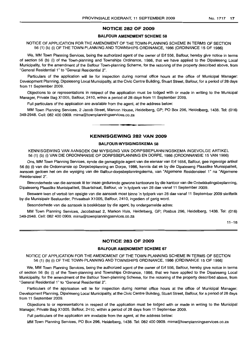#### NOTICE 282 OF 2009

#### BALFOUR AMENDMENT SCHEME 58

#### NOTICE OF APPLICATION FOR THE AMENDMENT OF THE TOWN-PLANNING SCHEME IN TERMS OF SECTION 56 (1) (b) (i) OF THE TOWN-PLANNING AND TOWNSHIPS ORDINANCE, 1986 (ORDINANCE 15 OF 1986)

We, MM Town Planning Services, being the authorized agent of the owner of Erf 556, Balfour, hereby give notice in terms of section 56 (b) (i) of the Town-planning and Townships Ordinance, 1986, that we have applied to the Dipaleseng Local Municipality, for the amendment of the Balfour Town-planning Scheme, for the rezoning of the property described above, from "General Residential 1"to "General Residential 2".

Particulars of the application will lie for inspection during normal office hours at the office of Municipal Manager: Development Planning, Dipaleseng Local Municipality, at the Civic Centre Building, Stuart Street, Balfour, for a period of 28 days from 11 September 2009.

Objections to or representations in respect of the application must be lodged with or made in writing to the Municipal Manager, Private Bag X1005, Balfour, 2410, within a period of 28 days from 11 September 2009.

Full particulars of the application are available from the agent, at the address below:

MM Town Planning Services, 2 Jacob Street, Marcon House, Heidelberg, GP; PO Box 296, Heidelberg, 1438. Tel: (016) 349-2948. Cell: 082 400 0909. mirna@townplanningservices.co.za

## KENNISGEWING 282 VAN 2009

**•**

## BALFOUR-WYSIGINGSKEMA 58

KENNISGEWING VAN AANSOEK OM WYSIGING VAN DORPSBEPLANNINGSKEMA INGEVOLGE ARTIKEL 56 (1) (b) (i) VAN DIE ORDONNANSIE OP DORPSBEPLANNING EN DORPE, 1986 (ORDONNANSIE 15 VAN 1986)

Ons, MM Town Planning Services, synde die gemagtigde agent van die eienaar van Erf 1656, Balfour, gee ingevolge artikel 56 (b) (i) van die Ordonnansie op Dorpsbeplanning en Dorpe, 1986, kennis dat ek by die Dipaleseng Plaaslike Munisipaliteit, aansoek gedoen het om die wysiging van die Balfour-dorpsbeplanningskema, van "Algemene Residensieel 1" na "Algemene Residensieel 2".

Besonderhede van die aansoek lê ter insae gedurende gewone kantoorure by die kantoor van die Ontwikkelingsbeplanning, Dipaleseng Plaaslike Munisipaliteit, Stuartstraat, Balfour, vir 'n tydperk van 28 dae vanaf 11 September 2009.

Besware teen of vertoe ten opsigte van die aansoek moet binne 'n tydperk van 28 dae vanaf 11 September 2009 skriftelik by die Munisipale Bestuurder, Privaatsak X1005, Balfour, 2410, ingedien of gerig word.

Besonderhede van die aansoek is beskikbaar by die agent, by ondergemelde adres:

MM Town Planning Services, Jacobstraat 2, Markon Huis, Heidelberg, GP; Posbus 296, Heidelberg, 1438. Tel: (016) 349-2948. Cell: 082 400 0909. mirna@townplanningservices.co.za

 $11 - 18$ 

## NOTICE 283 OF 2009

#### BALFOUR AMENDMENT SCHEME 67

NOTICE OF APPLICATION FOR THE AMENDMENT OF THE TOWN-PLANNING SCHEME IN TERMS OF SECTION 56 (1) (b) (i) OF THE TOWN-PLANNING AND TOWNSHIPS ORDINANCE, 1986 (ORDINANCE 15 OF 1986)

We, MM Town Planning Services, being the authorized agent of the owner of Erf 556, Balfour, hereby give notice in terms of section 56 (b) (i) of the Town-planning and Townships Ordinance, 1986, that we have applied to the Dipaleseng Local Municipality, for the amendment of the Balfour Town-planning Scheme, for the rezoning of the property described above, from "General Residential 1" to "General Residential 2".

Particulars of the application will lie for inspection during normal office hours at the office of Municipal Manager: Development Planning, Dipaleseng Local Municipality, at the Civic Centre Building, Stuart Street, Balfour, for a period of 28 days from 11 September 2009.

Objections to or representations in respect of the application must be lodged with or made in writing to the Municipal Manager, Private Bag X1005, Balfour, 2410, within a period of 28 days from 11 September 2009.

Full particulars of the application are available from the agent, at the address below:

MM Town Planning Services, PO Box 296, Heidelberg, 1438. Tel: 082 400 0909. mirna@townplanningservices.co.za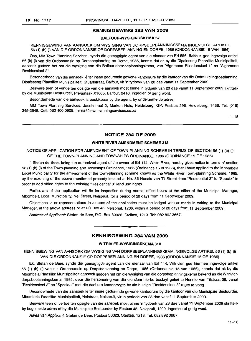## KENNISGEWING 283 VAN 2009

## BALFOUR·WYSIGINGSKEMA 67

KENNISGEWING VAN AANSOEK OM WYSIGING VAN DORPSBEPLANNINGSKEMA INGEVOLGE ARTIKEL 56 (1) (b) (i) VAN DIE ORDONNANSIE OP DORPSBEPLANNING EN DORPE, 1986 (ORDONNANSIE 15 VAN 1986)

Ons, MM Town Planning Services, synde die gemagtigde agent van die eienaar van Erf 556, Balfour, gee ingevolge artikel 56 (b) (i) van die Ordonnansie op Dorpsbeplanning en Dorpe, 1986, kennis dat ek by die Dipaleseng Plaaslike Munisipaliteit, aansoek gedoen het om die wysiging van die Balfour-dorpsbeplanningskema, van "Algemene Residensieel 1" na "Algemene Residensieel 2".

Besonderhede van die aansoek lê ter insae gedurende gewone kantoorure by die kantoor van die Ontwikkelingsbeplanning, Dipaleseng Plaaslike Munisipaliteit, Stuartstraat, Balfour, vir 'n tydperk van 28 dae vanaf 11 September 2009.

Besware teen of vertoë ten opsigte van die aansoek moet binne 'n tydperk van 28 dae vanaf 11 September 2009 skriftelik by die Munisipale Bestuurder, Privaatsak X1005, Balfour, 2410, ingedien of gerig word.

Besonderhede van die aansoek is beskikbaar by die agent, by ondergemelde adres:

MM Town Planning Services, Jacobstraat 2, Markon Huls, Heidelberg, GP; Posbus 296, Heidelberg, 1438. Tel: (016) 349-2948. Cell: 082 400 0909. mirna@townplanningservices.co.za

 $11 - 18$ 

## NOTICE 284 OF 2009

## WHITE RIVER AMENDMENT SCHEME 318

NOTICE OF APPLICATION FOR AMENDMENT OF TOWN-PLANNING SCHEME IN TERMS OF SECTION 56 (1) (b) (i) OF THE TOWN-PLANNING AND TOWNSHIPS ORDINANCE, 1986 (ORDINANCE 15 OF 1986)

I, Stefan de Beer, being the authorized agent of the owner of Erf 114, White River, hereby gives notice in terms of section 56 (1) (b) (i) of the Town-planning and Townships Ordinance, 1986 (Ordinance 15 of 1986), that I have applied to the Mbombela Local Municipality for the amendment of the town-planning scheme known as the White River Town-planning Scheme, 1985, by the rezoning of the above mentioned property located at No. 36 Hennie van Til Street from "Residential 3" to "Special" in order to add office rights to the existing "Residential 3" land use rights.

Particulars of the application will lie for inspection during normal office hours at the office of the Municipal Manager, Mbombela Local Municipality, Nel Street, Nelspruit, for a period of 28 days from 11 September 2009.

Objections to or representations in respect of the application must be lodged with or made in writing to the Municipal Manager, at the above address or at PO Box 45, Nelspruit, 1200, within a period of 28 days from 11 September 2009.

Address ofApplicant: Stefan de Beer, P.O. Box 30028, Steiltes, 1213. Tel: 0828923667.

## KENNISGEWING 284 VAN 2009

**• •**

## WITRIVIER-WYSIGINGSKEMA 318

KENNISGEWING VAN AANSOEK OM WYSIGING VAN DORPSBEPLANNINGSKEMA INGEVOLGE ARTIKEL 56 (1) (b) (i) VAN DIE ORDONNANSIE OP DORPSBEPLANNING EN DORPE, 1986 (ORDONNANSIE 15 OF 1986)

Ek, Stefan de Beer, synde die gemagtigde agent van die eienaar van Erf 114, Witrivier, gee hiermee ingevolge artikel 56 (1) (b) (i) van die Ordonnansie op Dorpsbeplanning en Dorpe, 1986 (Ordonnansie 15 van 1986), kennis dat ek by die Mbombela Plaaslike Munisipaliteit aansoek gedoen het om die wysiging van die dorpsbeplanningskema bekend as die Witrivierdorpsbeplanningskema, 1985, deur die hersonering van die eiendom hierbo beskryf gelee te Hennie van Tilstraat 36, vanaf "Residensieel 3" na "Spesiaal" met die doel om kantoorregte by die huidige "Residensieel 3" regte te voeg.

Besonderhede van die aansoek lê ter insae gedurende gewone kantoorure by die kantoor van die Munisipale Bestuurder, Mbombela Plaaslike Munisipaliteit, Nelstraat, Nelspruit, vir 'n periode van 28 dae vanaf 11 September 2009.

Besware teen of vertoe ten opsigte van die aansoek moet binne 'n tydperk van 28 dae vanaf 11 September 2009 skriftelik by bogemelde adres of by die Munisipale Bestuurder by Posbus 45, Nelspruit, 1200, ingedien of gerig word.

Adres van Applikant: Stefan de Beer, Posbus 30028, Steiltes, 1213. Tel: 082 892 3667.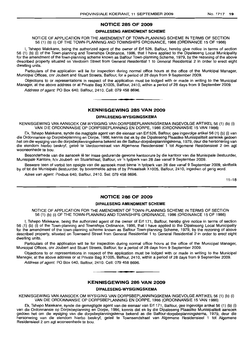#### **NOTICE 285 OF 2009**

#### **DIPALESENG AMENDMENT SCHEME**

NOTICE OF APPLICATION FOR THE AMENDMENT OF TOWN-PLANNING SCHEME IN TERMS OF SECTION 56 (1) (b) (i) OF THE TOWN-PLANNING AND TOWNSHIPS ORDINANCE, 1986 (ORDINANCE 15 OF 1986)

I, Tshepo Malekane, being the authorized agent of the owner of Erf 526, Balfour, hereby give notice in terms of section 56 (1) (b) (i) of the Town-planning and Townships Ordinance, 1986, that I have applied to the Dipaleseng Local Municipality for the amendment of the town-planning scheme known as Balfour Town-planning Scheme, 1979, by the rezoning of the above described property situated on Verdoorn Street from General Residential 1 to General Residential 2 in order to erect eight dwelling units.

Particulars of the application will lie for inspection during normal office hours at the office of the Municipal Manager, Municipal Offices, cnr Joubert and Stuart Streets, Balfour, for a period of 28 days from 9 September 2009.

Objections to or representations in respect of the application must be lodged with or made in writing to the Municipal Manager, at the above address or at Private Bag Xl005, Balfour, 2410, within a period of 28 days from 9 September 2009.

Address of agent: PO Box 640, Balfour, 2410. Cell: 079 458 8696.

#### **KENNISGEWING 285 VAN 2009**

**• •**

#### **DIPALESENG-WYSIGINGSKEMA**

KENNISGEWING VAN AANSOEK OM WYSIGING VAN DORPSBEPLANNINGSKEMA INGEVOLGE ARTIKEL 56 (1) (b) (i) VAN DIE ORDONNANSIE OP DORPSBEPLANNING EN DORPE, 1986 (ORDONNANSIE 15 VAN 1986)

Ek, Tshepo Malekane, synde die magtigde agent van die eienaar van Erf 526, Balfour, gee ingevolge artikel56 (1) (b) (i) van die Ordonnansie op Dorpsbeplanning en Dorpe, 1986, kennis dat ek by die Dipaleseng Plaaslike Munisipaliteit aansoek gedoen het am die wysiging van die dorpsbeplanningskema bekend as die Balfour-dorpsbeplanningskema, 1979, deur die hersonering van die eiendom hierbo beskryf, geleë te Verdoornstraat van Algemene Residensieel 1 tot Algemene Residensieel 2 om agt wooneenhede te bou.

Besonderhede van die aansoek lê ter insae gedurende gewone kantoorure by die kantoor van die Munisipale Bestuurder, Munisipale Kantore, h/v Joubert- en Stuartstraat, Balfour, vir 'n tydperk van 28 dae vanaf 9 September 2009.

Besware teen of vertoe ten opsigte van die aansoek moet binne 'n tydperk van 28 dae vanaf 9 September 2009, skriftelik by of tot die Munisipale Bestuurder, by bovermelde adres of by Privaatsak Xl005, Balfour, 2410, ingedien of gerig word.

Adres van agent: Posbus 640, Balfour, 2410. Sel: 079 458 8696.

 $11 - 18$ 

## **NOTICE 286 OF 2009**

#### **DIPALESENG AMENDMENT SCHEME**

NOTICE OF APPLICATION FOR THE AMENDMENT OF TOWN-PLANNING SCHEME IN TERMS OF SECTION 56 (1) (b) (i) OF THE TOWN-PLANNING AND TOWNSHIPS ORDINANCE, 1986 (ORDINANCE 15 OF 1986)

I, Tshepo Malekane, being the authorized agent of the owner of Erf 171, Balfour, hereby give notice in terms of section 56 (1) (b) (i) of the Town-planning and Townships Ordinance, 1986, that I have applied to the Dipaleseng Local Municipality for the amendment of the town-planning scheme known as Balfour Town-planning Scheme, 1979, by the rezoning of above described property, situated on Townsend Street from General Residential 1 to General Residential 2 in order to erect eight dwelling units.

Particulars of the application will lie for inspection during normal office hours at the office of the Municipal Manager, Municipal Offices, cnr Joubert and Stuart Streets, Balfour, for a period of 28 days from 9 September 2009.

Objections to or representations in respect of the application must be lodged with or made in writing to the Municipal Manager, at the above address or at Private Bag Xl 005, Balfour, 2410, within a period of 28 days from 9 September 2009.

Address of agent: PO Box 640, Balfour, 2410. Cell: 079 458 8696.

#### **KENNISGEWING 286 VAN 2009**

**• •**

#### **DIPALESENG-WYSIGINGSKEMA**

KENNISGEWING VAN AANSOEK OM WYSIGING VAN DORPSBEPLANNINGSKEMA INGEVOLGE ARTIKEL 56 (1) (b) (i) VAN DIE ORDONNANSIE OP DORPSBEPLANNING EN DORPE, 1986 (ORDONNANSIE 15 VAN 1986)

Ek, Tshepo Malekane, synde die gemagtigde agent van die eienaar van Erf 171, Balfour, gee ingevolge artikel 56 (1) (b) (i) van die Ordonnansie op Dorpsbeplanning en Dorpe, 1986, kennis dat ek by die Dipaleseng Plaaslike Munisipaliteit aansoek gedoen het am die wysiging van die dorpsbeplanningskema bekend as die Balfour-dorpsbeplanningskema, 1979, deur die hersonering van die eiendom hierbo beskryf, gelee te Townsendstraat van Algemene Residensieel 1 tot Algemene Residensieel 2 om agt wooneenhede te bou.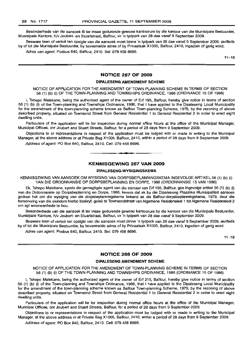Besonderhede van die aansoek lê ter insae gedurende gewone kantoorure by die kantoor van die Munisipale Bestuurder, Munisipale Kantore, h/v Joubert- en Stuartstraat, Balfour, vir 'n tydperk van 28 dae vanaf 9 September 2009.

Besware teen of vertoe ten opsigte van die aansoek moet binne 'n tydperk van 28 dae vanaf 9 September 2009, skriftelik by of tot die Munisipale Bestuurder, by bovermelde adres of by Privaatsak X1005, Balfour, 2410, ingedien of gerig word.

Adres van agent: Posbus 640, Balfour, 2410. Sel: 079 458 8696.

11-18

## **NOTICE 287 OF 2009**

#### **DIPALESENG AMENDMENT SCHEME**

NOTICE OF APPLICATION FOR THE AMENDMENT OF TOWN-PLANNING SCHEME IN TERMS OF SECTION 56 (1) (b) (i) OF THE TOWN-PLANNING AND TOWNSHIPS ORDINANCE, 1986 (ORDINANCE 15 OF 1986)

I, Tshepo Malekane, being the authorized agent of the owner of Erf 195, Balfour, hereby give notice in terms of section 56 (1) (b) (i) of the Town-planning and Townships Ordinance, 1986, that I have applied to the Dipaleseng Local Municipality for the amendment of the town-planning scheme known as Balfour Town-planning Scheme, 1979, by the rezoning of above described property, situated on Townsend Street from General Residential 1 to General Residential 2 in order to erect eight dwelling units.

Particulars of the application will lie for inspection during normal office hours at the office of the Municipal Manager, Municipal Offices, cnr Joubert and Stuart Streets, Balfour, for a period of 28 days from 9 September 2009.

Objections to or representations in respect of the application must be lodged with or made in writing to the Municipal Manager, at the above address or at Private Bag X1005, Balfour, 2410, within a period of 28 days from 9 September 2009.

Address of agent: PO Box 640, Balfour, 2410. Cell: 079 458 8696.

## **KENNISGEWING 287 VAN 2009**

**I •**

#### **DIPALESENG-WYSIGINGSKEMA**

KENNISGEWING VAN AANSOEK OM WYSIGING VAN DORPSBEPLANNINGSKEMA INGEVOLGE ARTIKEL 56 (1) (b) (i) VAN DIE ORDONNANSIE OP DORPSBEPLANNING EN DORPE, 1986 (ORDONNANSIE 15 VAN 1986)

Ek, Tshepo Malekane, synde die gemagtigde agent van die eienaar van Erf 195, Balfour, gee ingevolge artikel 56 (1) (b) (i) van die Ordonnansie op Dorpsbeplanning en Dorpe, 1986, kennis dat ek by die Dipaleseng Plaaslike Munisipaliteit aansoek gedoen het om die wysiging van die dorpsbeplanningskema bekend as die Balfour-dorpsbeplanningskema, 1979, deur die hersonering van die eiendom hierbo beskryf, geleë te Townsendstraat van Algemene Residensieel 1 tot Algemene Residensieel 2 om agt wooneenhede te bou.

Besonderhede van die aansoek lê ter insae gedurende gewone kantoorure by die kantoor van die Munisipale Bestuurder, Munisipale Kantore, h/v Joubert- en Stuartstraat, Balfour, vir 'n tydperk van 28 dae vanaf 9 September 2009.

Besware teen of vertoe ten opsigte van die aansoek moet binne 'n tydperk van 28 dae vanaf 9 September 2009, skriftelik by of tot die Munisipale Bestuurder, by bovermelde adres of by Privaatsak X1005, Balfour, 2410, ingedien of gerig word.

Adres van agent: Posbus 640, Balfour, 2410. Sel: 079 458 8696.

 $11 - 18$ 

## **NOTICE 288 OF 2009**

#### **DIPALESENG AMENDMENT SCHEME**

NOTICE OF APPLICATION FOR THE AMENDMENT OF TOWN-PLANNING SCHEME IN TERMS OF SECTION 56 (1) (b) (i) OF THE TOWN-PLANNING AND TOWNSHIPS ORDINANCE, 1986 (ORDINANCE 15 OF 1986)

I, Tshepo Malekane, being the authorized agent of the owner of Erf 215, Balfour, hereby give notice in terms of section 56 (1) (b) (i) of the Town-planning and Townships Ordinance, 1986, that I have applied to the Dipaleseng Local Municipality for the amendment of the town-planning scheme known as Balfour Town-planning Scheme, 1979, by the rezoning of above described property, situated on Townsend Street from General Residential 1 to General Residential 2 in order to erect eight dwelling units.

Particulars of the application will lie for inspection during normal office hours at the office of the Municipal Manager, Municipal Offices, cnr Joubert and Stuart Streets, Balfour, for a period of 28 days from 9 September 2009.

Objections to or representations in respect of the application must be lodged with or made in writing to the Municipal Manager, at the above address or at Private Bag X1005, Balfour, 2410, within a period of 28 days from 9 September 2009.

Address of agent: PO Box 640, Balfour, 2410. Cell: 079 458 8696.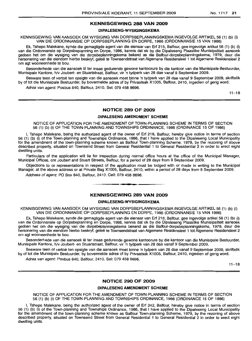## **KENNISGEWING 288 VAN 2009**

## **DIPALESENG-WYSIGINGSKEMA**

KENNISGEWING VAN AANSOEK OM WYSIGING VAN DORPSBEPLANNINGSKEMA INGEVOLGE ARTIKEL 56 (1) (b) (i) VAN DIE ORDONNANSIE OP DORPSBEPLANNING EN DORPE, 1986 (ORDONNANSIE 15 VAN 1986)

Ek, Tshepo Malekane, synde die gemagtigde agent van die eienaar van Erf 215, Balfour, gee ingevolge artikel 56 (1) (b) (i) van die Ordonnansie op Dorpsbeplanninq en Dorpe, 1986, kennis dat ek by die Dipaleseng Plaaslike Munisipaliteit aansoek gedoen het om die wysiging van die dorpsbeplanningskema bekend as die Balfour-dorpsbeplanningskema, 1979, deur die hersonering van die eiendom hierbo beskryf, gelee te Townsendstraat van Aigemene Residensieel 1 tot Algemene Residensieel 2 om agt wooneenhede te bou.

Besonderhede van die aansoek lê ter insae gedurende gewone kantoorure by die kantoor van die Munisipale Bestuurder, Munisipale Kantore, h/v Joubert- en Stuartstraat, Balfour, vir 'n tydperk van 28 dae vanaf 9 September 2009.

Besware teen of vertoe ten opsigte van die aansoek moet binne 'n tydperk van 28 dae vanaf 9 September 2009, skriftelik by of tot die Munisipale Bestuurder, by bovermelde adres of by Privaatsak X1005, Balfour, 2410, ingedien of gerig word.

Adres van agent: Posbus 640, Balfour, 2410. Sel: 079 458 8696.

 $11 - 18$ 

#### **NOTICE 289 OF 2009**

#### **DIPALESENG AMENDMENT SCHEME**

NOTICE OF APPLICATION FOR THE AMENDMENT OF TOWN-PLANNING SCHEME IN TERMS OF SECTION 56 (1) (b) (i) OF THE TOWN-PLANNING AND TOWNSHIPS ORDINANCE, 1986 (ORDINANCE 15 OF 1986)

I, Tshepo Malekane, being the authorized agent of the owner of Erf 218, Balfour, hereby give notice in terms of section 56 (1) (b) (i) of the Town-planning and Townships Ordinance, 1986, that I have applied to the Dipaleseng Local Municipality for the amendment of the town-planning scheme known as Balfour Town-planning Scheme, 1979, by the rezoning of above described property, situated on Townsend Street from General Residential 1 to General Residential 2 in order to erect eight dwelling units.

Particulars of the application will lie for inspection during normal office hours at the office of the Municipal Manager, Municipal Offices, cnr Joubert and Stuart Streets, Balfour, for a period of 28 days from 9 September 2009.

Objections to or representations in respect of the application must be lodged with or made in writing to the Municipal Manager, at the above address or at Private Bag X1005, Balfour, 2410, within a period of 28 days from 9 September 2009. Address of agent: PO Box 640, Balfour, 2410. Cell: 079 458 8696.

**- .**

## **KENNISGEWING 289 VAN 2009**

#### **DIPALESENG-WYSIGINGSKEMA**

KENNISGEWING VAN AANSOEK OM WYSIGING VAN DORPSBEPLANNINGSKEMA INGEVOLGE ARTIKEL 56 (1) (b) (i) VAN DIE ORDONNANSIE OP DORPSBEPLANNING EN DORPE, 1986 (ORDONNANSIE 15 VAN 1986)

Ek, Tshepo Malekane, synde die gemagtigde agent van die eienaar van Erf 218, Balfour, gee ingevolge artikel 56 (1) (b) (i) van die Ordonnansie op Dorpsbeplanning en Dorpe, 1986, kennis dat ek by die Dipaleseng Plaaslike Munisipaliteit aansoek gedoen het om die wysiging van die dorpsbeplanningskema bekend as die Balfour-dorpsbeplanningskema, 1979, deur die hersonering van die eiendom hierbo beskryf, gelee te Townsendstraat van Aigemene Residensieel 1 tot Algemene Residensieel 2 om agt wooneenhede te bou.

Besonderhede van die aansoek lê ter insae gedurende gewone kantoorure by die kantoor van die Munisipale Bestuurder, Munisipale Kantore, h/v Joubert- en Stuartstraat, Balfour, vir 'n tydperk van 28 dae vanaf 9 September 2009.

Besware teen of vertoë ten opsigte van die aansoek moet binne 'n tydperk van 28 dae vanaf 9 September 2009, skriftelik by of tot die Munisipale Bestuurder, by bovermelde adres of by Privaatsak X1005, Balfour, 2410, ingedien of gerig word.

Adres van agent: Posbus 640, Balfour, 2410. Sel: 079 458 8696.

 $11 - 18$ 

## **NOTICE 290 OF 2009**

#### **DIPALESENG AMENDMENT SCHEME**

NOTICE OF APPLICATION FOR THE AMENDMENT OF TOWN-PLANNING SCHEME IN TERMS OF SECTION 56 (1) (b) (i) OF THE TOWN-PLANNING AND TOWNSHIPS ORDINANCE, 1986 (ORDINANCE 15 OF 1986)

I, Tshepo Malekane, being the authorized agent of the owner of Erf 242, Balfour, hereby give notice in terms of section 56 (1) (b) (i) of the Town-planning and Townships Ordinance, 1986, that I have applied to the Dipaleseng Local Municipality for the amendment of the town-planning scheme known as Balfour Town-planning Scheme, 1979, by the rezoning of above described property, situated on Townsend Street from General Residential 1 to General Residential 2 in order to erect eight dwelling units.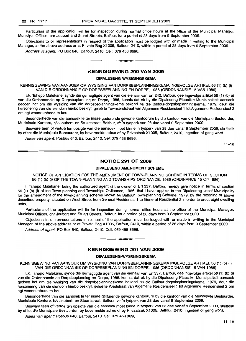Particulars of the application will lie for inspection during normal office hours at the office of the Municipal Manager, Municipal Offices, cnr Joubert and Stuart Streets, Balfour, for a period of 28 days from 9 September 2009.

Objections to or representations in respect of the application must be lodged with or made in writing to the Municipal Manager, at the above address or at Private Bag Xi 005, Balfour, 2410, within a period of 28 days from 9 September 2009. Address of agent: PO Box 640, Balfour, 2410. Cell: 079 458 8696.

#### **KENNISGEWING 290 VAN 2009**

**• I**

#### **DIPALESENG-WYSIGINGSKEMA**

KENNISGEWING VAN AANSOEK OM WYSIGING VAN DORPSBEPLANNINGSKEMA INGEVOLGE ARTIKEL 56 (1) (b) (i) VAN DIE ORDONNANSIE OP DORPSBEPLANNING EN DORPE, 1986 (ORDONNANSIE 15 VAN 1986)

Ek, Tshepo Malekane, synde die gemagtigde agent van die eienaar van Erf 242, Balfour, gee ingevolge artikel 56 (1) (b) (i) van die Ordonnansie op Dorpsbeplanning en Dorpe, 1986, kennis dat ek by die Dipaleseng Plaaslike Munisipaliteit aansoek gedoen het om die wysiging van die dorpsbeplanningskema bekend as die Balfour-dorpsbeplanningskema, 1979, deur die hersonering van die eiendom hierbo beskryf, gelee te Townsendstraat van Aigemene Residensieel 1 tot Aigemene Residensieel 2 om agt wooneenhede te bou.

Besonderhede van die aansoek lê ter insae gedurende gewone kantoorure by die kantoor van die Munisipale Bestuurder, Munisipale Kantore, h/v Joubert- en Stuartstraat, Balfour, vir 'n tydperk van 28 dae vanaf 9 September 2009.

Besware teen of vertoë ten opsigte van die aansoek moet binne 'n tydperk van 28 dae vanaf 9 September 2009, skriftelik by of tot die Munisipale Bestuurder, by bovermelde adres of by Privaatsak Xi 005, Balfour, 2410, ingedien of gerig word.

Adres van agent: Posbus 640, Balfour, 2410. Sel: 079 458 8696.

 $11 - 18$ 

## **NOTICE 291 OF 2009**

## **DIPALESENG AMENDMENT SCHEME**

NOTICE OF APPLICATION FOR THE AMENDMENT OF TOWN-PLANNING SCHEME IN TERMS OF SECTION 56 (1) (b) (i) OF THE TOWN-PLANNING AND TOWNSHIPS ORDINANCE, 1986 (ORDINANCE 15 OF 1986)

I, Tshepo Malekane, being the authorized agent of the owner of Erf 337, Balfour, hereby give notice in terms of section 56 (1) (b) (i) of the Town-planning and Townships Ordinance, 1986, that I have applied to the Dipaleseng Local Municipality for the amendment of the town-planning scheme known as Balfour Town-planning Scheme, 1979, by the rezoning of above described property, situated on West Street from General Residential 1 to General Residential 2 in order to erect eight dwelling units.

Particulars of the application will lie for inspection during normal office hours at the office of the Municipal Manager, Municipal Offices, cnr Joubert and Stuart Streets, Balfour, for a period of 28 days from 9 September 2009.

Objections to or representations in respect of the application must be lodged with or made in writing to the Municipal Manager, at the above address or at Private Bag Xi 005, Balfour, 2410, within a period of 28 days from 9 September 2009.

Address of agent: PO Box 640, Balfour, 2410. Cell: 079 458 8696.

## **KENNISGEWING 291 VAN 2009**

**•**

#### **DIPALESENG·WYSIGINGSKEMA**

KENNISGEWING VAN AANSOEK OM WYSIGING VAN DORPSBEPLANNINGSKEMA INGEVOLGE ARTIKEL 56 (1) (b) (i) VAN DIE ORDONNANSIE OP DORPSBEPLANNING EN DORPE, 1986 (ORDONNANSIE 15 VAN 1986)

Ek, Tshepo Malekane, synde die gemagtigde agent van die eienaar van Erf 337, Balfour, gee ingevolge artikel 56 (1) (b) (i) van die Ordonnansie op Dorpsbeplanning en Dorpe, 1986, kennis dat ek by die Dipaleseng Plaaslike Munisipaliteit aansoek gedoen het om die wysiging van die dorpsbeplanningskema bekend as die Balfour-dorpsbeplanningskema, 1979, deur die hersonering van die eiendom hierbo beskryf, gelee te Weststraat van Algemene Residensieel 1 tot Aigemene Residensieel 2 om agt wooneenhede te bou.

Besonderhede van die aansoek lê ter insae gedurende gewone kantoorure by die kantoor van die Munisipale Bestuurder, Munisipale Kantore, h/V Joubert- en Stuartstraat, Balfour, vir 'n tydperk van 28 dae vanaf 9 September 2009.

Besware teen of vertoë ten opsigte van die aansoek moet binne 'n tydperk van 28 dae vanaf 9 September 2009, skriftelik by of tot die Munisipale Bestuurder, by bovermelde adres of by Privaatsak Xi 005, Balfour, 2410, ingedien of gerig word.

Adres van agent: Posbus 640, Balfour, 2410. Sel: 079 458 8696.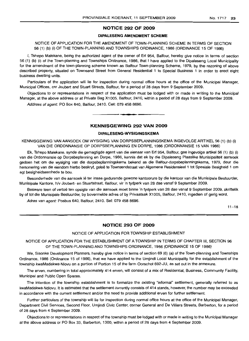## **NOTICE 292 OF 2009**

## **DIPALESENG AMENDMENT SCHEME**

NOTICE OF APPLICATION FOR THE AMENDMENT OF TOWN-PLANNING SCHEME IN TERMS OF SECTION 56 (1) (b) (i) OF THE TOWN-PLANNING AND TOWNSHIPS ORDINANCE, 1986 (ORDINANCE 15 OF 1986)

I, Tshepo Malekane, being the authorized agent of the owner of Erf 954, Balfour, hereby give notice in terms of section 56 (1) (b) (i) of the Town-planning and Townships Ordinance, 1986, that I have applied to the Dipaleseng Local Municipality for the amendment of the town-planning scheme known as Balfour Town-planning Scheme, 1979, by the rezoning of above described property, situated on Townsend Street from General Residential 1 to Special Business 1 in order to erect eight business dwelling units.

Particulars of the application will lie for inspection during normal office hours at the office of the Municipal Manager, Municipal Offices, cnr Joubert and Stuart Streets, Balfour, for a period of 28 days from 9 September 2009.

Objections to or representations in respect of the application must be lodged with or made in writing to the Municipal Manager, at the above address or at Private Bag X1005, Balfour, 2410, within a period of 28 days from 9 September 2009.

Address of agent: PO Box 640, Balfour, 2410. Cell: 079 458 8696 .

## **KENNISGEWING 292 VAN 2009**

**•**

#### **DIPALESENG-WYSIGINGSKEMA**

KENNISGEWING VAN AANSOEK OM WYSIGING VAN DORPSBEPLANNINGSKEMA INGEVOLGE ARTIKEL 56 (1) (b) (i) VAN DIE ORDONNANSIE OP DORPSBEPLANNING EN DORPE, 1986 (ORDONNANSIE 15 VAN 1986)

Ek, Tshepo Malekane, synde die gemagtigde agent van die eienaar van Erf 954, Balfour, gee ingevolge artikel 56 (1) (b) (i) van die Ordonnansie op Dorpsbeplanning en Dorpe, 1986, kennis dat ek by die Dipaleseng Plaaslike Munisipaliteit aansoek gedoen het om die wysiging van die dorpsbeplanningskema bekend as die Balfour-dorpsbeplanningskema, 1979, deur die hersonering van die eiendom hierbo beskryf, geleë te Townsendstraat van Algemene Residensieel 1 tot Spesiale Besigheid 1 om agt besigheidseenhede te bou.

Besonderhede van die aansoek lê ter insae gedurende gewone kantoorure by die kantoor van die Munisipale Bestuurder, Munisipale Kantore, h/v Joubert- en Stuartstraat, Balfour, vir 'n tydperk van 28 dae vanaf 9 September 2009.

Besware teen of vertoë ten opsigte van die aansoek moet binne 'n tydperk van 28 dae vanaf 9 September 2009, skriftelik by of tot die Munisipale Bestuurder, by bovermelde adres of by Privaatsak X1005, Balfour, 2410, ingedien of gerig word.

Adres van agent: Posbus 640, Balfour, 2410. Sel: 079 458 8696.

 $11 - 18$ 

## **NOTICE 293 OF 2009**

#### NOTICE OF APPLICATION FOR TOWNSHIP ESTABLISHMENT

NOTICE OF APPLICATION FOR THE ESTABLISHMENT OF A TOWNSHIP IN TERMS OF CHAPTER III, SECTION 96 OF THE TOWN-PLANNING AND TOWNSHIPS ORDINANCE, 1986 (ORDINANCE 15 OF 1986)

We, Sisonke Development Planners, hereby give notice in terms of section 69 (6) (a) of the Town-planning and Townships Ordinance, 1986 (Ordinance 15 of 1986), that we have applied to the Umjindi Local Municipality for the establishment of the township kwaMadakwa-Nlovu on a portion of Portion 15 of the farm Oorschot 692-JU, as set out in the annexure.

The erven, numbering in total approximately 414 erven, will consist of a mix of Residential, Business, Community Facility, Municipal and Public Open Spaces.

The intention of the township establishment is to formalize the existing "informal" settlement, generally referred to as kwaMadakwa-Ndlovu. It is estimated that the settlement currently consists of 414 stands, however, the number may be exceeded in accordance with the current settlement and/or the need to provide additional erven for further settlement.

Further particulars of the township will lie for inspection during normal office hours at the office of the Municipal Manager, Department Civil Services, Second Floor, Umjindi Civic Center, corner General and De Villiers Streets, Barberton, for a period of 28 days from 4 September 2009.

Objections to or representations in respect of the township must be lodged with or made in writing to the Municipal Manager at the above address or PO Box 33, Barberton, 1300, within a period of 28 days from 4 September 2009.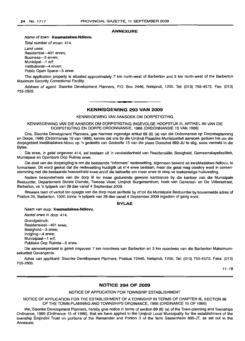#### **ANNEXURE**

Name of town: **Kwamadakwa-Ndlovu.**

Total number of erven: 414. Land uses: Residential-401 erven; Business-3 erven; Municipal-1 erf; Institutional-4 erven; Public Open Space--5 erwe.

The application property is situated approximately 7 km north-west of Barberton and 3 km north-west of the Barberton Maximum Security Correctional Facility.

Address of agent: Sisonke Development Planners, P.O. Box 2446, Nelspruit, 1200. Tel: (013) 755-4572. Fax: (013) 755-2803.

**1\_**

#### **KENNISGEWING 293 VAN 2009**

KENNISGEWING VAN AANSOEK OM DORPSTIGTING

KENNISGEWING VAN DIE AANSOEK OM DORPSTIGTING INGEVOLGE HOOFSTUK III, ARTIKEL 96 VAN DIE DORPSTIGTING EN DORPE ORDONNANSIE, 1986 (ORDONNANSIE 15 VAN 1986)

Ons, Sisonke Development Planners, gee hiermee ingevolge artikel 69 (6) (a) van die Ordonnansie op Dorpsbeplanning en Dorpe, 1986 (Ordonnansie 15 van 1986), kennis dat ons by die Umjindi Plaaslike Munisipaliteit aansoek gedoen het om die dorpsgebied kwaMadakwa-Nlovu op 'n gedeelte van Gedeelte 15 van die plaas Oorschot 692-JU te stig, soos vermeld in die Bylae.

Die erwe, in getal ongeveer 414, sal bestaan uit 'n verskeidenheid van Hesidensiele, Besigheid, Gemeenskapsfasiliteit, Munisipaal en Openbare Oop Ruimte erwe.

Die doel van die dorpstigting is om die bestaande "informele" nedersetting, algemeen bekend as kwaMadakwa-Ndlovu, te formaliseer. Dit word geskat dat die nedersetting huidiglik uit 414 erwe bestaan, maar die getal mag oorskry word in ooreenstemming met die bestaande hoeveelheid erwe en/of die behoefte om meer erwe te skep vir toekomstige huisvesting.

Nadere besonderhede van die dorp lê ter insae gedurende gewone kantoorure by die kantoor van die Munisipale Bestuurder, Departement Siviele Dienste, Tweede Vloer, Umjindi Burgersentrum, hoek van Generaal- en De Villiersstraat, Barberton, vir 'n tydperk van 28 dae vanaf 4 September 2009.

Besware teen of vertoë ten opsigte van die dorp moet skriftelik by of tot die Munisipale Bestuurder by bovermelde adres of Posbus 33, Barberton, 1300, binne 'n tydperk van 28 dae vanaf 4 September 2009 ingedien of gerig word.

#### **BYLAE**

Naam van dorp: **Kwamadakwa-Ndlovu.**

Aantal erwe in dorp: 414. Grondgebruik: Residensieel-401 erwe; Besigheid-3 erwe; Inrigting-4 erwe; Munisipaal-1 erf; Publieke Oop Ruimte-5 erwe.

Die aansoekperseel is gelee ongeveer 7 km noordwes van Barberton en 3 km noordwes van die Barberton Maksimumsekuriteit Gevangenis.

Adres van applikant: Sisonke Development Planners, Posbus 72446, Nelspruit, 1200. Tel: (013) 755-4572. Faks: (013) 755-2803.

 $11 - 18$ 

#### **NOTICE 294 OF 2009**

## NOTICE OF APPLICATION FOR TOWNSHIP ESTABLISHMENT

NOTICE OF APPLICATION FOR THE ESTABLISHMENT OF A TOWNSHIP IN TERMS OF CHAPTER III, SECTION 96 OF THE TOWN-PLANNING AND TOWNSHIPS ORDINANCE, 1986 (ORDINANCE 15 OF 1986)

We, Sisonke Development Planners, hereby give notice in terms of section 69 (6) (a) of the Town-planning and Townships Ordinance, 1986 (Ordinance 15 of 1986), that we have applied to the Umjindi Local Municipality for the establishment of the township Emjindini Trust on portions of the Remainder and Portion 3 of the farm Sassenheim 695-JT, as set out in the Annexure.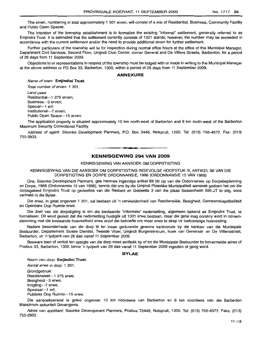The erven, numbering in total approximately 1 301 erven, will consist of a mix of Residential, Business, Community Facility and Public Open Spaces.

The intention of the township establishment is to formalize the existing "informal" settlement, generally referred to as Emjindini Trust. It is estimated that the settlement currently consists of 1301 stands, however, the number may be exceeded in accordance with the current settlement and/or the need to provide additional erven for further settlement.

Further particulars of the township will lie for inspection during normal office hours at the office of the Municipal Manager, Department Civil Services, Second Floor, Umjindi Civic Center, corner General and De Villiers Streets, Barberton, for a period of 28 days from 11 September 2009.

Objections to or representations in respect of the township must be lodged with or made in writing to the Municipal Manager at the above address or PO Box 33, Barberton, 1300, within a period of 28 days from 11 September 2009.

#### **ANNEXURE**

Name of town: **Emjindini Trust.** Total number of erven: 1 301. Land uses: Residential-1 275 erven; Business-3 erven; Special-1 erf; Institutional-7 erven; Public Open Space-15 erven.

The application property is situated approximately 10 km north-west of Barberton and 6 km north-west of the Barberton Maximum Security Correctional Facility.

Address of agent: Sisonke Development Planners, P.O. Box 2446, Nelspruit, 1200. Tel: (013) 755-4572. Fax: (013) 755-2803.

## **- £ KENNISGEWING 294 VAN 2009**

KENNISGEWING VAN AANSOEK OM DORPSTIGTING

KENNISGEWING VAN DIE AANSOEK OM DORPSTIGTING INGEVOLGE HOOFSTUK III, ARTIKEL 96 VAN DIE DORPSTIGTING EN DORPE ORDONNANSIE, 1986 (ORDONNANSIE 15 VAN 1986)

Ons, Sisonke Development Planners, gee hiermee ingevolge artikel 69 (6) (a) van die Ordonnansie op Dorpsbeplanning en Dorpe, 1986 (Ordonnansie 15 van 19B6), kennis dat ons by die Umjindi Plaaslike Munisipaliteit aansoek gedoen het om die dorpsgebied Emjindini Trust op gedeeltes van die Restant en Gedeelte 3 van die plaas Sassenheim 695-JT te stig, soos vermeld in die Bylae.

Die erwe, in getal ongeveer 1 301, sal bestaan uit 'n verskeidenheid van Residensiële, Besigheid, Gemeenskapsfasiliteit en Openbare Oop Ruimte erwe.

Die doel van die dorpstigting is om die bestaande "informele" nedersetting, algemeen bekend as Emjindini Trust, te formaliseer. Dit word geskat dat die nedersettinq huidiglik uit 1301 erwe bestaan, maar die getal mag oorskry word in ooreenstemming met die bestaande hoeveelheid erwe en/of die behoefte om meer erwe te skep vir toekomstige huisvesting.

Nadere besonderhede van die dorp lê ter insae gedurende gewone kantoorure by die kantoor van die Munisipale Bestuurder, Departement Siviele Dienste, Tweede Vloer, Umjindi Burgersentrum, hoek van Generaal- en De Villiersstraat, Barberton, vir 'n tydperk van 28 dae vanaf 11 September 2009.

Besware teen of vertoë ten opsigte van die dorp moet skriftelik by of tot die Munisipale Bestuurder by bovermelde adres of Posbus 33, Barberton, 1300, binne 'n tydperk van 28 dae vanaf 11 September 2009 ingedien of gerig word.

## **BYLAE**

Naam van dorp: **Emjindini Trust.** Aantal erwe in dorp: 1 301.

Grondgebruik: Residensieel-1 275 erwe; Besigheid-3 erwe; Inrigting-7 erwe; Spesiaal-1 erf; Publieke Oop Ruimte-15 erwe.

Die aansoekperseel is gelee ongeveer 10 km noordwes van Barberton en 6 km noordwes van die Barberton Maksimum-sekuriteit Gevangenis.

Adres van applikant: Sisonke Development Planners, Posbus 72446, Nelspruit, 1200. Tel: (013) 755-4572. Faks: (013) 755-2803.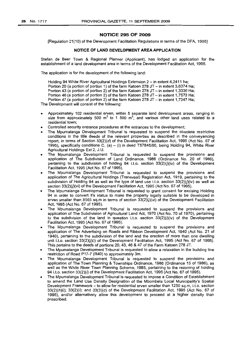#### **NOTICE 295 OF 2009**

[Regulation 21(10) of the Development Facilitation Regulations in terms of the DFA, 1995]

#### **NOTICE OF LAND DEVELOPMENT AREA APPLICATION**

Stefan de Beer Town & Regional Planner (Applicant), has lodged an application for the establishment of a land development area in terms of the Development Facilitation Act, 1995.

The application is for the development of the following land:

Holding 94 White River Agricultural Holdings Extension 2 - in extent 4,2411 ha; Portion 20 (a portion of portion 1) of the farm Katoen 278 JT - in extent 3,6374 Ha; Portion 43 (a portion of portion 2) of the farm Katoen 278 JT  $-$  in extent 1,3336 Ha; Portion 46 (a portion of portion 2) of the farm Katoen 278 JT - in extent 1,7573 Ha; Portion 47 (a portion of portion 2) of the farm Katoen 278 JT - in extent 1,7347 Ha; The Development will consist of the following:

- Approximately 102 residential erven, within 5 separate land development areas, ranging in size from approximately 500  $m^2$  to 1 500  $m^2$ , and various other land uses related to a residential town;
- Controlled security entrance procedures at the entrances to the development;
- The Mpumalanga Development Tribunal is requested to suspend the obsolete restrictive conditions in the title deeds of the relevant properties as described in the conveyancing report, in terms of Section 33(2)(d) of the Development Facilitation Act, 1995 (Act No. 67 of 1995), specifically conditions C. (a)  $-$  (i) in deed T57845/90, being Holding 94, White River Agricultural Holdings Ext 2, J.U.
- The Mpumalanqa Development Tribunal is requested to suspend the provisions and application of The. Subdivision of Land Ordinance, 1986 (Ordinance No. 20 of 1986), pertaining to the subdivision of holding 94 i.t.o. section  $33(2)(j)(iv)$  of the Development Facilitation Act, 1995 (Act No. 67 of 1995).
- The Mpumalanga Development Tribunal is requested to suspend the provisions and application of The Agricultural Holdings (Transvaal) Registration Act, 1919, pertaining to the subdivision of Holding 94 as well as the type of land use i.t.o. section  $33(2)(j)(iv)$  as well as section 33(2)(*j*)(vi) of the Development Facilitation Act, 1995 (Act No. 67 of 1995).
- The Mpumalanga Development Tribunal is requested to grant consent for excising Holding 94 in order to convert it's status to make the property legally suitable to be developed in erven smaller than 8565 sq.m in terms of section  $33(2)(j)(vi)$  of the Development Facilitation Act, 1995 (Act No. 67 of 1995).
- The Mpumalanga Development Tribunal is requested to suspend the provisions and application of The Subdivision of Agricultural Land Act, 1970 (Act No. 70 of 1970), pertaining to the subdivision of the land in question i.t.o. section  $33(2)(j)(iv)$  of the Development Facilitation Act, 1995 (Act No. 67 of 1995).
- The Mpumalanga Development Tribunal is requested to suspend the provisions and application of The Advertising on Roads and Ribbon Development Act, 1940 (Act No. 21 of 1940), pertaining to the subdivision of the land and the erection of more than one dwelling unit i.t.o. section  $33(2)(j)(i)$  of the Development Facilitation Act, 1995 (Act No. 67 of 1995). This pertains to the deeds of portions 20, 43, 46 & 47 of the Farm Katoen 278 JT.
- The Mpumalanga Development Tribunal is requested to allow a relaxation in the building line restriction of Road P17-7 (R40) to approximately 3m.
- The Mpumalanga Development Tribunal is requested to suspend the provisions and application of The Town Planning & Townships Ordinance, 1986 (Ordinance 15 of 1986), as well as the White River Town Planning Scheme, 1985, pertaining to the rezoning of holding 94 i.t.o. section 33(2)(i) of the Development Facilitation Act, 1995 (Act No. 67 of 1995).
- The Mpumalanga Development Tribunal is requested to impose a Condition of Establishment to amend the Land Use Density Designation of the Mbombela Local Municipality's Spatial Development Framework - to allow for residential erven smaller than 1250 sq.m, i.t.o. section  $33(2)(h)(i)$ ;  $33(2)(i)$ ; and  $33(3)(c)$  of the Development Facilitation Act, 1995 (Act No. 67 of 1995), and/or alternatively allow this development to proceed at a higher density than prescribed.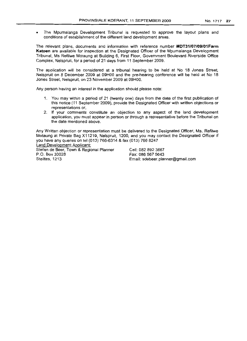- 
- The Mpumalanga Development Tribunal is requested to approve the layout plans and conditions of establishment of the different land development areas.

The relevant plans, documents and information with reference number **MDT31/07/09/01Farm Katoen** are available for inspection at the Designated Officer of the Mpumalanga Development Tribunal, Ms Refilwe Motaung at Building 6, First Floor, Govemment Boulevard Riverside Office Complex, Nelspruit, for a period of 21 days from 11 September 2009.

The application will be considered at a tribunal hearing to be held at No 18 Jones Street, Nelspruit on 8 December 2009 at 09HOO and the pre-hearing conference will be held at No 18 Jones Street, Nelspruit, on 23 November 2009 at 09HOO.

Any person having an interest in the application should please note:

- 1. You may within a period of 21 (twenty one) days from the date of the first publication of this notice (11 September 2009), provide the Designated Officer with written objections or representations or,
- 2. **If** your comments constitute an objection to any aspect of the land development application, you must appear in person or through a representative before the Tribunal on the date mentioned above.

Any Written objection or representation must be delivered to the Designated Officer, Ms. Refilwe Motaung at Private Bag X11219, Nelspruit, 1200. and you may contact the Designated Officer if you have any queries on tel (013) 766-6314 & fax (013) 766 8247 Land Development Applicant:

Stefan de Beer, Town & Regional Planner P.O. Box 30028 Steiltes, 1213

Cell: 082 892 3667 Fax: 086 567 5643 Email: sdebeer.planner@gmail.com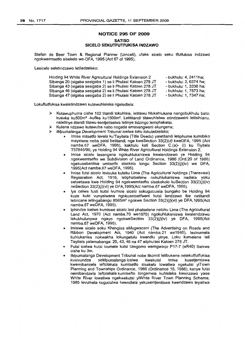## **NOTICE 295 OF 2009 SATISO**

## **SICELO SEKUTFUTFUKISA INDZAWO**

Stefan de Beer Town & Regional Planner (Umceli), ufake sicelo seku tfutfukisa indzawo ngokwemtsetfo sisekelo we-DFA, 1995 (Act 67 of 1995).

Lesicelo saletindzawo letiladzelako:

| Holding 94 White River Agricultural Holdings Extension 2   | - bukhulu: 4. 2411ha:  |
|------------------------------------------------------------|------------------------|
| Sibanga 20 (sigaba sesigaba 1) se li Phulasi Katoen 278 JT | - bukhulu: 3, 6374 ha: |
| Sibanga 43 (sigaba sesigaba 2) se li Phulasi Katoen 278 JT | - bukhulu: 1, 3336 ha: |
| Sibanga 46 (sigaba sesigaba 2) se li Phulasi Katoen 278 JT | - bukhulu: 1, 7573 ha: |
| Sibanga 47 (sigaba sesigaba 2) se li Phulasi Katoen 278 JT | - bukhulu: 1, 7347 ha: |

Lokuftutfukisa kwaletindzawo kutawuhleleka ngaledlela:

- Kutawuphuma cishe 102 titandi tokuhlala, letitawu hlukahlukana nangobukhulu bato:  $\blacktriangle$ kusuka ku500m<sup>2</sup> -kufike ku1500m<sup>2</sup>. Letititandi titawuhlelwa etindzaweni letisihlanu, naletinye titandi titawu-sentjetiselwa letinye tidzingo temphakatsi.
- $\blacktriangleright$ Kulena ndzawo kutawuba nabo nogada emasangweni ekungena;
- iMpumalanga Development Tribunal icelwa loku lokuladzelako;
	- Imise mitsetfo levela ku'Tayitela (Title Deeds) yaletitandi letiphume kumibiko mayelane neba patsi betitandi, nge kweSection 33(2)(d) kweDFA, 1995 (Act namba.67 weDFA, 1995), kakhulu kati Section C.(a)- (i) ku Tiyitela *T57845/90,* ye Holding 94 White River Agricultural Holdings Extension 2.
	- Imise sicelo lesangena ngokuhlukaniswa kwalendzawo ye Holding 94 ngekwemtsefto we Subdivision of Land Ordinance, 1986 (Ord.20 of 1986) ngekusebentisa umtsetfo sisekelo longu Section  $33(2)(i)(iv)$  we DFA, 1995(Act namba.67 weDFA, 1995).
	- Imise futsi sicelo lesisuka kuteku Lima {The Agricultural holdings (Transvaal) Registration Act, 1919, letiphatselene nokuhlukaniswa nedlela yoku setsetiswa kwe Holding 94 ngekwemtsefto sisekekolo kuSection 33(2)(j)(iv) neSection 33(2)(i)(vi) ye DFA,1995(Act namba.67 weDFA, 1995).
	- Iya celwa fusti kutsi ivumele sicelo sokuguculela bungako be Holding 94 kuze kuto vunyelwana ngokusetsetfweni kutsi lendzawo ibe netitandi letincane letingabangu 8565m<sup>2</sup> ngokwe Section 33(2)(j)(vi) ye DFA, 1995(Act namba.67 weDFA, 1995).
	- Iphindze icelwe kumiswe sicelo lesi phatselene netoku Lima (The Agricultural Land Act, 1970 (Act namba.70 we1970) ngokuhlukaniswa kwalendzawo lekukhulunywa ngayo ngokweSection 33(2)(j)(iv) ye DFA, 1995(Act namba.67 weDFA, 1995).
	- Imiswe sicelo soku Khangisa eMugwaceni (The Advertising on Roads and Ribbon Development Act, 1940 (Act namba.21 we1940), lesivumela kuhlukanisa nokwakha lokungetulu kwendlu yinye. Loku kumelene leli Tayitela yalamabanga: 20, 43, 46 na 47 eliphulasi Katoen 278 JT.
	- Futsi icelwa kutsi ivumele kutsi Umgomo wemgwaqo P17-7 (eR40) ibekwe cishe ku 3m.
	- iMpumalanga Development Tribunal nobe likomiti lelibukene netekutfutfukisa kusivundza seMpumalanga icelwa kwekutsi imise kusetjentiswa kwemibanzela leftolakala kumtsetfo sisekelo lowatiwa ngekutsi yiTown Planning and Townships Ordinance, 1986 (Ordinance 15, 1986), kanye futsi nemibandzela leftolakala kumtsefto longamela kuhleleka kwenzawo yase White River lowatiwa ngekwekutsi yiWhite River Town Planning Scheme, 1985 levumela kuguculwa kwendlela yekusentjentiswa kwendzawo leyatiwa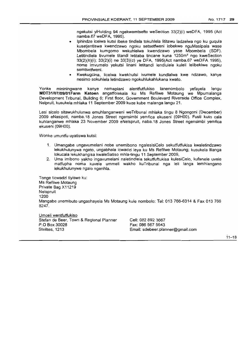ngekutsi yiHolding 94 ngekwemtsefto weSection 33(2)(i) weDFA, 1995 (Act namba.67 weDFA, 1995).

- Iphindze icelwa kutsi ibeke tindlela tokuhlela lititawu ladzelwa ngo ku guqula kusetjentiswa kwendzawo ngoku setsetfweni lobekwe nguMasipala wase Mbombela kumgomo wekuhlelwa kwendzawo yase Mbombela (SDF). Letitindlela tivumele titandi letitaba tincane kuna 1250m<sup>2</sup> ngo kweSection 33(2)(h)(i); 33(2)(i) ne 33(3)(c) ye DFA, 1995(Act namba.67 weDFA 1995), nome imvumelo yekutsi linani letitandi lendlulele kuleli lelibekiwe ngoku semtsetfweni.
- Kwekuqcina, licelwa kwekhutsi ivumele kundlalwa kwe ndzawo, kanye nesimo sokuhlela letindzawo ngokuhlukahlukana kwato.

Yonke mininingwane kanye nemaplani alentfutfukiso lanenombolo yefayela lengu **MDT31/07/09/01 Farm Katoen** angatfolakala ku Ms Refilwe Motaung we Mpumalanga Development Tribunal, Building 6; First floor, Government Boulevard Riverside Office Complex, Nelpruit, kusukela mhlaka 11 September 2009 kuze kube malanga langu 21.

Lesi sicelo sitawukhulunwa emuhlanganweni weTribunal mhlaka tingu 8 Ngongoni (December) 2009 eNasipoti, namba.18 Jones Street ngensimbi yemfica ekuseni (09HOO). Fusti kuto cala kuhlanganwe mhlaka 23 November 2009 eNelspruit, naba.18 Jones Street ngensimbi yemfica ekuseni (09HOO).

Wanke umuntfu uyatiswa kutsi:

- 1. Umangabe ungavumelani nobe unemibono ngalesisiCelo sekutfutfukisa kwaletindzawo lekukhulunywa ngato, ungabhala icwadzi leya ku Ms Refilwe Motaung; kusukela liIanga lokucala lekukhangisa kwaleSatiso mhla-tingu 11 September 2009,
- 2. Uma imibono yakho ingavumelani naletindlela tekutfuftukisa kulesiCelo, kufanele uvele matfupha noma kuvele ummeli wakho kuTribunal nga leli langa lemhlangano lekukhulunywe ngalo ngenhla.

Tonge ticwadzi tiyiswe ku: Ms Refilwe Motaung Private Bag X11219 Nelspruit 1200 Mangabe unemibuto unqashayela Ms Motaung kule nombolo: Tel: 013 766-6314 & Fax 013 766 8247.

Umceli wentfutfukiso Stefan de Beer, Town & Regional Planner P.O Box 30028 Steiltes, 1213

Cell: 082 892 3667 Fax: 086 567 5643 Email: sdebeer.planner@gmail.c:om

 $11 - 18$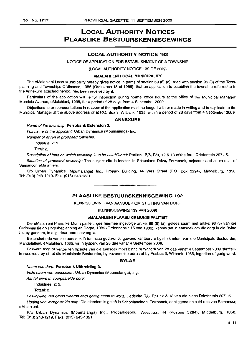# **LOCAL AUTHORITY NOTICES PLAASLIKE BESTUURSKENNISGEWINGS**

## **LOCAL AUTHORITY NOTICE 192**

NOTICE OF APPLICATION FOR ESTABLISHMENT OF A TOWNSHIP

(LOCAL AUTHORITY NOTICE 139 OF 2009)

#### **eMALAHLENI LOCAL MUNICIPALITY**

The eMalahleni Local Municipality hereby gives notice in terms of section 69 (6) (a), read with section 96 (3) of the Townplanning and Townships Ordinance, 1986 (Ordinance 15 of 1986), that an application to establish the township referred to in the Annexure attached hereto, has been received by it.

Particulars of the application will lie for inspection during normal office hours at the office of the Municipal Manager, Mandela Avenue, eMalahleni, 1035, for a period of 28 days from 4 September 2009.

Objections to or representations in respect of the application must be lodged with or made in writing and in duplicate to the Municipal Manager at the above address or at P.O. Box 3, Witbank, 1035, within a period of 28 days from 4 September 2009.

#### **ANNEXURE**

#### Name of the township: **Ferrobank Extension 3.**

Full name of the applicant: Urban Dynamics (Mpumalanga) Inc.

Number of erven in proposed township:

Industrial 2: 2.

Total: 2.

Description of land on which township is to be established: Portions R/8, R/9, 12 & 13 of the farm Driefontein 297 JS.

Situation of proposed township: The subject site is located in Schonland Drive, Ferrobank, adjacent and south-east of Samancor, eMalahleni.

*Clo* Urban Dynamics (Mpumalanga) Inc., Propark Building, 44 Wes Street (P.O. Box 3294), Middelburg, 1050. Tel: (013) 243-1219. Fax: (013) 243-1321. **-**

## **PLAASLIKE BESTUURSKENNISGEWING 192**

#### KENNISGEWING VAN AANSOEK OM STIGTING VAN DORP

(KENNISGEWING 139 VAN 2009)

#### **eMALAHLENI PLAASLIKE MUNISIPALITEIT**

Die eMalahleni Plaaslike Munisipaliteit, gee hiermee ingevolge artikel 69 (6) (a), gelees saam met artikel 96 (3) van die Ordonnansie op Dorpsbeplanning en Dorpe, 1986 (Ordonnansie 15 van 1986), kennis dat 'n aansoek om die dorp in die Bylae hierby genoem, te stig, deur hom ontvang is.

Besonderhede van die aansoek lê ter insae gedurende gewone kantoorure by die kantoor van die Munisipale Bestuurder, Mandelalaan, eMalahleni, 1035, vir 'n tydperk van 28 dae vanaf 4 September 2009.

Besware teen of vertoe ten opsigte van die aansoek moet binne 'n tydperk van 28 dae vanaf 4 September 2009 skriftelik in tweevoud by of tot die Munisipale Bestuurder, by bovermelde adres of by Posbus 3, Witbank, 1035, ingedien of gerig word.

#### **BYLAE**

#### Naam van dorp: **Ferrobank Uitbreiding** 3.

Volle naam van aansoeker: Urban Dynamics (Mpumalanga), Ing.

Aantal erwe in voorgestelde dorp:

Industrieel 2: 2.

Totaal: 2.

Beskrywing van grond waarop dorp gestig staan te word: Gedeelte R/8, R/9, 12 & 13 van die plaas Driefontein 297 JS.

Ligging van voorgestelde dorp: Die eiendom is geleë in Schonlandlaan, Ferrobank, aanliggend en suid-oos van Samancor, eMalahleni.

Pia Urban Dynamics (Mpumalanga) Ing., Proparkgebou, Wesstraat 44 (Posbus 3294), Middelburg, 1050. Tel: (013) 243-1219. Faks: (013) 243-1321.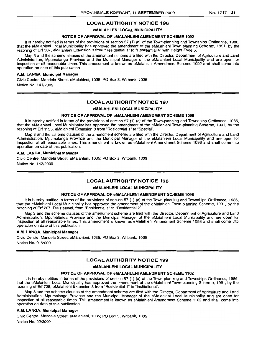## **LOCAL AUTHORITY NOTICE 196**

#### **eMALAHLENI LOCAL MUNICIPALITY**

#### **NOTICE OF APPROVAL OF eMALAHLENI AMENDMENT SCHEME 1092**

It is hereby notified in terms of the provisions of section 57 (1) (a) of the Town-planning and Townships Ordinance, 1986, that the eMalahleni Local Municipality has approved the amendment of the eMalahleni Town-planning Scheme, 1991, by the rezoning of Erf 507, eMalahleni Extension 3 from "Residential 1" to "Residential 4" with Height Zone 5.

Map 3 and the scheme clauses of the amendment scheme are filed with the Director, Department of Agriculture and Land Administration, Mpumalanga Province and the Municipal Manager of the eMalahleni Local Municipality and are open for inspection at all reasonable times. This amendment is known as eMalahleni Amendment Scheme 1092 and shall come into operation on date of this publication.

#### **A.M. LANGA, Municipal Manager**

Civic Centre, Mandela Street, eMalahleni, 1035; PO Box 3, Witbank, 1035 Notice No. 141/2009

## **LOCAL AUTHORITY NOTICE 197**

#### **eMALAHLENI LOCAL MUNICIPALITY**

#### **NOTICE OF APPROVAL OF eMALAHLENI AMENDMENT SCHEME 1096**

It is hereby notified in terms of the provisions of section 57 (1) (a) of the Town-planning and Townships Ordinance, 1986, that the eMalahleni Local Municipality has approved the amendment of the eMalahleni Town-planning Scheme, 1991, by the rezoning of Erf 1135, eMalahleni Extension 8 from "Residential 1" to "Special".

Map 3 and the scheme clauses of the amendment scheme are filed with the Director, Department of Agriculture and Land Administration, Mpumalanga Province and the Municipal Manager of the eMalahleni Local Municipality and are open for inspection at all reasonable times. This amendment is known as eMalahleni Amendment Scheme 1096 and shall come into operation on date of this publication.

#### **A.M. LANGA, Municipal Manager**

Civic Centre, Mandela Street, eMalahleni, 1035; PO Box 3, Witbank, 1035 Notice No. 142/2009

## **LOCAL AUTHORITY NOTICE 198**

#### **eMALAHLENI LOCAL MUNICIPALITY**

#### **NOTICE OF APFtROVALOF eMALAHLENI AMENDMENT SCHEME 1098**

It is hereby notified in terms of the provisions of section 57 (1) (a) of the Town-planning and Townships Ordinance, 1986, that the eMalahleni Local Municipality has approved the amendment of the eMalahleni Town-planning Scheme, 1991, by the rezoning of Erf 207, Die Heuwel, from "Residential 1" to "Residential 2".

Map 3 and the scheme clauses of the amendment scheme are filed with the Director, Department of Agriculture and Land Administration, Mpumalanga Province and the Municipal Manager of the eMalahleni Local Municipality and are open for inspection at all reasonable times. This amendment is known as eMalahleni Amendment Scheme 1098 and shall come into operation on date of this publication.

#### A.M. **LANGA, Municipal Manager**

Civic Centre, Mandela Street, eMalahleni, 1035; PO Box 3, Witbank, 1035 Notice No. 91/2009

## **LOCAL AUTHORITY NOTICE 199**

#### **eMALAHLENI LOCAL MUNICIPALITY**

#### **NOTICE OF APPROVAL OF eMALAHLENI AMENDMENT SCHEME 1102**

It is hereby notified in terms of the provisions of section 57 (1) (a) of the Town-planning and Townships Ordinance, 1986, that the eMalahleni Local Municipality has approved the amendment of the eMalahleni Town-planning Scheme, 1991, by the rezoning of Erf 728, eMalahleni Extension 3 from "Residential 1" to "Institutional".

Map 3 and the scheme clauses of the amendment scheme are filed with the Director, Department of Agriculture and Land Administration, Mpumalanga Province and the Municipal Manager of the eMalahleni Local Municipality and are open for inspection at all reasonable times. This amendment is known as eMalahleni Amendment Scheme '1102 and shall come into operation on date of this publication.

#### **A.M. LANGA, Municipal Manager**

Civic Centre, Mandela Street, eMalahleni, 1035; PO Box 3, Witbank, 1035 Notice No. 92/2009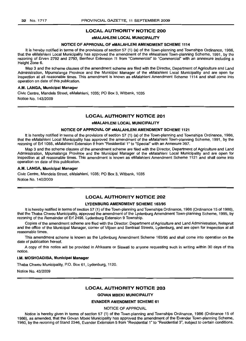#### LOCAL AUTHORITY NOTICE 200

#### eMALAHLENI LOCAL MUNICIPALITY

#### NOTICE OF APPROVAL OF eMALAHLENI AMENDMENT SCHEME 1114

It is hereby notified in terms of the provisions of section 57 (1) (a) of the Town-planning and Townships Ordinance, 1986, that the eMalahleni Local Municipality has approved the amendment of the eMalahleni Town-planning Scheme, 1991, by the rezoning of Erven 2792 and 2793, Benfleur Extension 11 from "Commercial" to "Commercial" with an annexure including a Height Zone 6.

Map 3 and the scheme clauses of the amendment scheme are filed with the Director, Department of Agriculture and Land Administration, Mpumalanga Province and the Municipal Manager of the eMalahleni Local Municipality and are open for inspection at all reasonable times. This amendment is known as eMalahleni Amendment Scheme 1114 and shalf come into operation on date of this publication.

#### A.M. LANGA, Municipal Manager

Civic Centre, Mandela Street, eMalahleni, 1035; PO Box 3, Witbank, 1035 Notice No. 143/2009

#### LOCAL AUTHORITY NOTICE 201

#### eMALAHLENI LOCAL MUNICIPALITY

#### NOTICE OF APPROVAL OF eMALAHLENI AMENDMENT SCHEME 1121

It is hereby notified in terms of the provisions of section 57 (1) (a) of the Town-planning and Townships Ordinance, 1986, that the eMalahleni Local Municipality has approved the amendment of the eMalahleni Town-planning Scheme, 1991, by the rezoning of Erf 1055, eMalahleni Extension 8 from "Residential 1" to "Special" with an Annexure 397.

Map 3 and the scheme clauses of the amendment scheme are filed with the Director, Department of Agriculture and Land Administration, Mpumalanga Province and the Municipal Manager of the eMalahleni Local Municipality and are open for inspection at all reasonable times. This amendment is known as eMalahleni Amendment Scheme 1121 and shall come into operation on date of this publication.

#### A.M. LANGA, Municipal Manager

Civic Centre, Mandela Street, eMalahleni, 1035; PO Box 3, Witbank, 1035 Notice No. 140/2009

## LOCAL AUTHORITY NOTICE 202

#### LYDENBURG AMENDMENT SCHEME 163/95

It is hereby notified in terms of section 57 (1) of the Town-planning and Townships Ordinance, 1986 (Ordinance 15 of 1986), that the Thaba Chweu Municipality, approved the amendment of the Lydenburg Amendment Town-planning Scheme, 1995, by rezoning of the Remainder of Erf 2498, Lydenburg Extension 9 Township.

Copies of the amendment scheme are filed with the Director: Department of Agriculture and Land Administration, Nelspruit and the office of the Municipal Manager, corner of Viljoen and Sentraal Streets, Lydenburg, and are open for inspection at all reasonable times.

This amendment scheme is known as the Lydenburg Amendment Scheme 163/95 and shall come into operation on the date of publication hereof.

A copy of this notice will be provided in Afrikaans or Siswati to anyone requesting such in writing within 30 days of this notice.

#### I.M. MOSHOADIBA, Municipal Manager

Thaba Chweu Municipality, P.O. Box 61, Lydenburg, 1120.

Notice No. 43/2009

#### LOCAL AUTHORITY NOTICE 203

#### GOVAN MBEKI MUNICIPALITY

#### EVANDER AMENDMENT SCHEME 61

NOTICE OF APPROVAL

Notice is hereby given in terms of section 57 (1) of the Town-planning and Townships Ordinance, 1986 (Ordinance 15 of 1986), as amended, that the Govan Mbeki Municipality has approved the amendment of the Evander Town-planning Scheme, 1980, by the rezoning of Stand 2346, Evander Extension 5 from "Residential 1" to "Residential 3", subject to certain conditions.